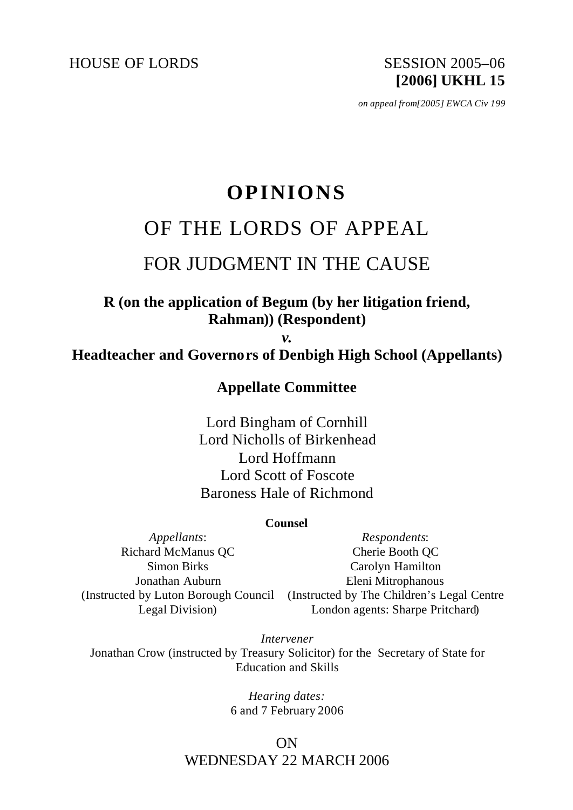HOUSE OF LORDS SESSION 2005–06

*on appeal from[2005] EWCA Civ 199* 

# **OPINIONS**

# OF THE LORDS OF APPEAL

# FOR JUDGMENT IN THE CAUSE

## **R (on the application of Begum (by her litigation friend, Rahman)) (Respondent)**

*v.*

**Headteacher and Governors of Denbigh High School (Appellants)**

**Appellate Committee**

Lord Bingham of Cornhill Lord Nicholls of Birkenhead Lord Hoffmann Lord Scott of Foscote Baroness Hale of Richmond

## **Counsel**

*Appellants*: Richard McManus QC Simon Birks Jonathan Auburn Legal Division)

(Instructed by Luton Borough Council (Instructed by The Children's Legal Centre *Respondents*: Cherie Booth QC Carolyn Hamilton Eleni Mitrophanous London agents: Sharpe Pritchard)

*Intervener* Jonathan Crow (instructed by Treasury Solicitor) for the Secretary of State for Education and Skills

> *Hearing dates:* 6 and 7 February 2006

ON WEDNESDAY 22 MARCH 2006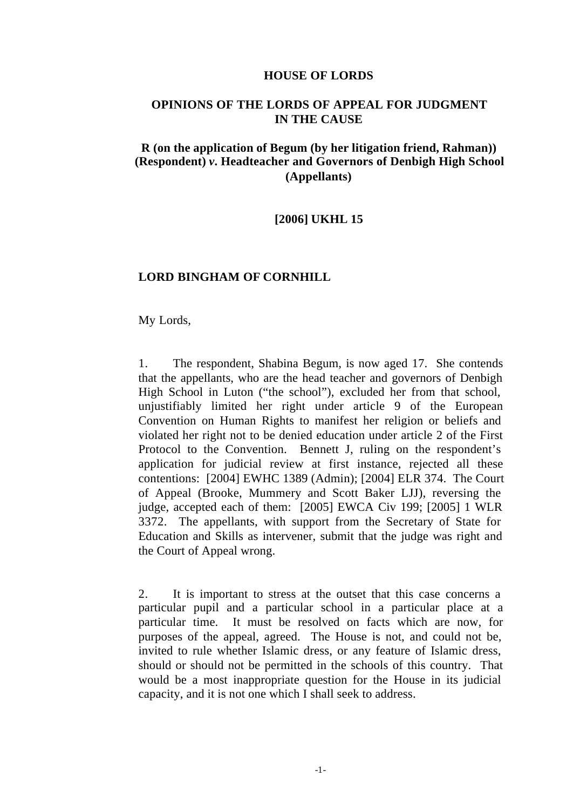#### **HOUSE OF LORDS**

## **OPINIONS OF THE LORDS OF APPEAL FOR JUDGMENT IN THE CAUSE**

## **R (on the application of Begum (by her litigation friend, Rahman)) (Respondent)** *v.* **Headteacher and Governors of Denbigh High School (Appellants)**

#### **[2006] UKHL 15**

#### **LORD BINGHAM OF CORNHILL**

My Lords,

1. The respondent, Shabina Begum, is now aged 17. She contends that the appellants, who are the head teacher and governors of Denbigh High School in Luton ("the school"), excluded her from that school, unjustifiably limited her right under article 9 of the European Convention on Human Rights to manifest her religion or beliefs and violated her right not to be denied education under article 2 of the First Protocol to the Convention. Bennett J, ruling on the respondent's application for judicial review at first instance, rejected all these contentions: [2004] EWHC 1389 (Admin); [2004] ELR 374. The Court of Appeal (Brooke, Mummery and Scott Baker LJJ), reversing the judge, accepted each of them: [2005] EWCA Civ 199; [2005] 1 WLR 3372. The appellants, with support from the Secretary of State for Education and Skills as intervener, submit that the judge was right and the Court of Appeal wrong.

2. It is important to stress at the outset that this case concerns a particular pupil and a particular school in a particular place at a particular time. It must be resolved on facts which are now, for purposes of the appeal, agreed. The House is not, and could not be, invited to rule whether Islamic dress, or any feature of Islamic dress, should or should not be permitted in the schools of this country. That would be a most inappropriate question for the House in its judicial capacity, and it is not one which I shall seek to address.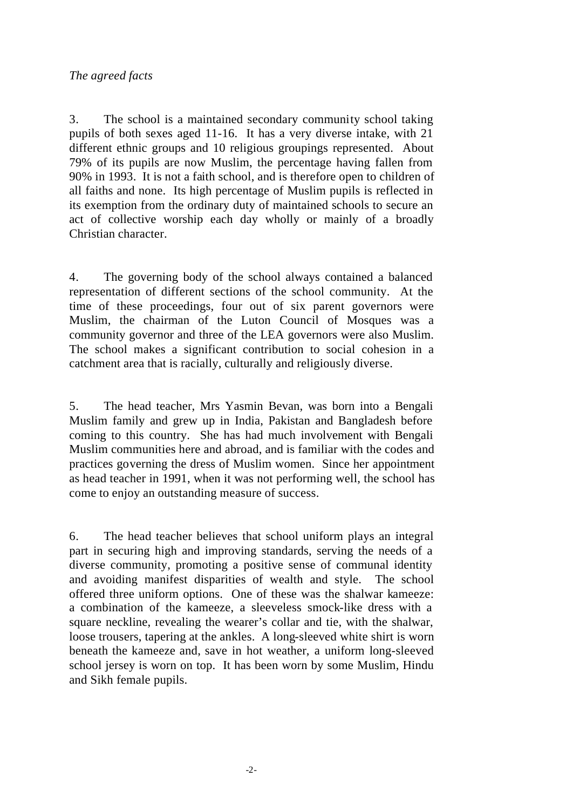## *The agreed facts*

3. The school is a maintained secondary community school taking pupils of both sexes aged 11-16. It has a very diverse intake, with 21 different ethnic groups and 10 religious groupings represented. About 79% of its pupils are now Muslim, the percentage having fallen from 90% in 1993. It is not a faith school, and is therefore open to children of all faiths and none. Its high percentage of Muslim pupils is reflected in its exemption from the ordinary duty of maintained schools to secure an act of collective worship each day wholly or mainly of a broadly Christian character.

4. The governing body of the school always contained a balanced representation of different sections of the school community. At the time of these proceedings, four out of six parent governors were Muslim, the chairman of the Luton Council of Mosques was a community governor and three of the LEA governors were also Muslim. The school makes a significant contribution to social cohesion in a catchment area that is racially, culturally and religiously diverse.

5. The head teacher, Mrs Yasmin Bevan, was born into a Bengali Muslim family and grew up in India, Pakistan and Bangladesh before coming to this country. She has had much involvement with Bengali Muslim communities here and abroad, and is familiar with the codes and practices governing the dress of Muslim women. Since her appointment as head teacher in 1991, when it was not performing well, the school has come to enjoy an outstanding measure of success.

6. The head teacher believes that school uniform plays an integral part in securing high and improving standards, serving the needs of a diverse community, promoting a positive sense of communal identity and avoiding manifest disparities of wealth and style. The school offered three uniform options. One of these was the shalwar kameeze: a combination of the kameeze, a sleeveless smock-like dress with a square neckline, revealing the wearer's collar and tie, with the shalwar, loose trousers, tapering at the ankles. A long-sleeved white shirt is worn beneath the kameeze and, save in hot weather, a uniform long-sleeved school jersey is worn on top. It has been worn by some Muslim, Hindu and Sikh female pupils.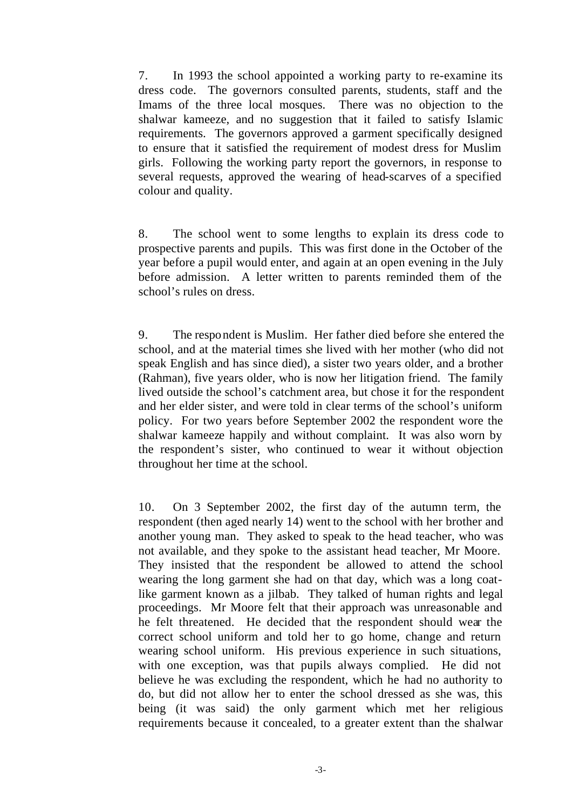7. In 1993 the school appointed a working party to re-examine its dress code. The governors consulted parents, students, staff and the Imams of the three local mosques. There was no objection to the shalwar kameeze, and no suggestion that it failed to satisfy Islamic requirements. The governors approved a garment specifically designed to ensure that it satisfied the requirement of modest dress for Muslim girls. Following the working party report the governors, in response to several requests, approved the wearing of head-scarves of a specified colour and quality.

8. The school went to some lengths to explain its dress code to prospective parents and pupils. This was first done in the October of the year before a pupil would enter, and again at an open evening in the July before admission. A letter written to parents reminded them of the school's rules on dress.

9. The respondent is Muslim. Her father died before she entered the school, and at the material times she lived with her mother (who did not speak English and has since died), a sister two years older, and a brother (Rahman), five years older, who is now her litigation friend. The family lived outside the school's catchment area, but chose it for the respondent and her elder sister, and were told in clear terms of the school's uniform policy. For two years before September 2002 the respondent wore the shalwar kameeze happily and without complaint. It was also worn by the respondent's sister, who continued to wear it without objection throughout her time at the school.

10. On 3 September 2002, the first day of the autumn term, the respondent (then aged nearly 14) went to the school with her brother and another young man. They asked to speak to the head teacher, who was not available, and they spoke to the assistant head teacher, Mr Moore. They insisted that the respondent be allowed to attend the school wearing the long garment she had on that day, which was a long coatlike garment known as a jilbab. They talked of human rights and legal proceedings. Mr Moore felt that their approach was unreasonable and he felt threatened. He decided that the respondent should wear the correct school uniform and told her to go home, change and return wearing school uniform. His previous experience in such situations, with one exception, was that pupils always complied. He did not believe he was excluding the respondent, which he had no authority to do, but did not allow her to enter the school dressed as she was, this being (it was said) the only garment which met her religious requirements because it concealed, to a greater extent than the shalwar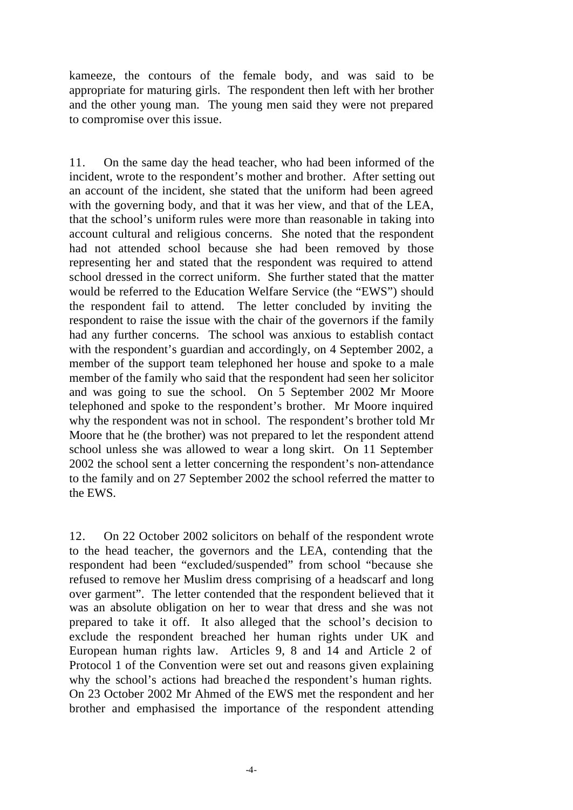kameeze, the contours of the female body, and was said to be appropriate for maturing girls. The respondent then left with her brother and the other young man. The young men said they were not prepared to compromise over this issue.

11. On the same day the head teacher, who had been informed of the incident, wrote to the respondent's mother and brother. After setting out an account of the incident, she stated that the uniform had been agreed with the governing body, and that it was her view, and that of the LEA, that the school's uniform rules were more than reasonable in taking into account cultural and religious concerns. She noted that the respondent had not attended school because she had been removed by those representing her and stated that the respondent was required to attend school dressed in the correct uniform. She further stated that the matter would be referred to the Education Welfare Service (the "EWS") should the respondent fail to attend. The letter concluded by inviting the respondent to raise the issue with the chair of the governors if the family had any further concerns. The school was anxious to establish contact with the respondent's guardian and accordingly, on 4 September 2002, a member of the support team telephoned her house and spoke to a male member of the family who said that the respondent had seen her solicitor and was going to sue the school. On 5 September 2002 Mr Moore telephoned and spoke to the respondent's brother. Mr Moore inquired why the respondent was not in school. The respondent's brother told Mr Moore that he (the brother) was not prepared to let the respondent attend school unless she was allowed to wear a long skirt. On 11 September 2002 the school sent a letter concerning the respondent's non-attendance to the family and on 27 September 2002 the school referred the matter to the EWS.

12. On 22 October 2002 solicitors on behalf of the respondent wrote to the head teacher, the governors and the LEA, contending that the respondent had been "excluded/suspended" from school "because she refused to remove her Muslim dress comprising of a headscarf and long over garment". The letter contended that the respondent believed that it was an absolute obligation on her to wear that dress and she was not prepared to take it off. It also alleged that the school's decision to exclude the respondent breached her human rights under UK and European human rights law. Articles 9, 8 and 14 and Article 2 of Protocol 1 of the Convention were set out and reasons given explaining why the school's actions had breached the respondent's human rights. On 23 October 2002 Mr Ahmed of the EWS met the respondent and her brother and emphasised the importance of the respondent attending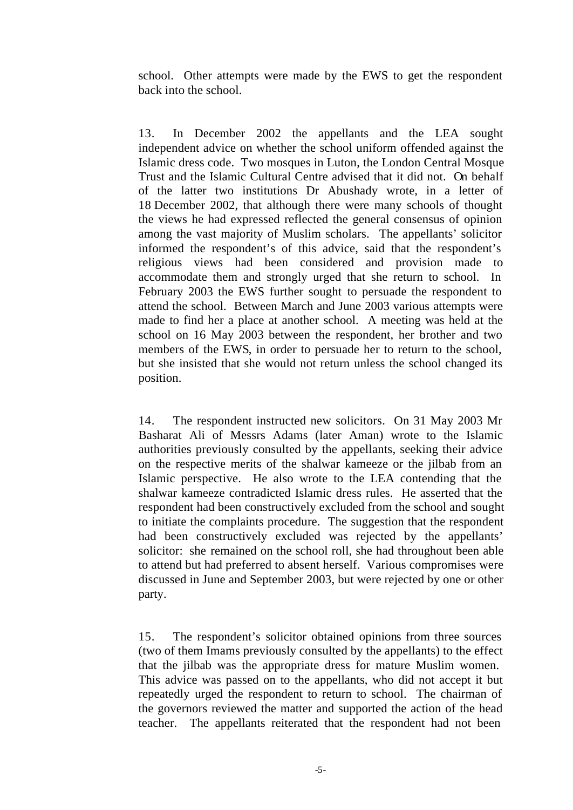school. Other attempts were made by the EWS to get the respondent back into the school.

13. In December 2002 the appellants and the LEA sought independent advice on whether the school uniform offended against the Islamic dress code. Two mosques in Luton, the London Central Mosque Trust and the Islamic Cultural Centre advised that it did not. On behalf of the latter two institutions Dr Abushady wrote, in a letter of 18 December 2002, that although there were many schools of thought the views he had expressed reflected the general consensus of opinion among the vast majority of Muslim scholars. The appellants' solicitor informed the respondent's of this advice, said that the respondent's religious views had been considered and provision made to accommodate them and strongly urged that she return to school. In February 2003 the EWS further sought to persuade the respondent to attend the school. Between March and June 2003 various attempts were made to find her a place at another school. A meeting was held at the school on 16 May 2003 between the respondent, her brother and two members of the EWS, in order to persuade her to return to the school, but she insisted that she would not return unless the school changed its position.

14. The respondent instructed new solicitors. On 31 May 2003 Mr Basharat Ali of Messrs Adams (later Aman) wrote to the Islamic authorities previously consulted by the appellants, seeking their advice on the respective merits of the shalwar kameeze or the jilbab from an Islamic perspective. He also wrote to the LEA contending that the shalwar kameeze contradicted Islamic dress rules. He asserted that the respondent had been constructively excluded from the school and sought to initiate the complaints procedure. The suggestion that the respondent had been constructively excluded was rejected by the appellants' solicitor: she remained on the school roll, she had throughout been able to attend but had preferred to absent herself. Various compromises were discussed in June and September 2003, but were rejected by one or other party.

15. The respondent's solicitor obtained opinions from three sources (two of them Imams previously consulted by the appellants) to the effect that the jilbab was the appropriate dress for mature Muslim women. This advice was passed on to the appellants, who did not accept it but repeatedly urged the respondent to return to school. The chairman of the governors reviewed the matter and supported the action of the head teacher. The appellants reiterated that the respondent had not been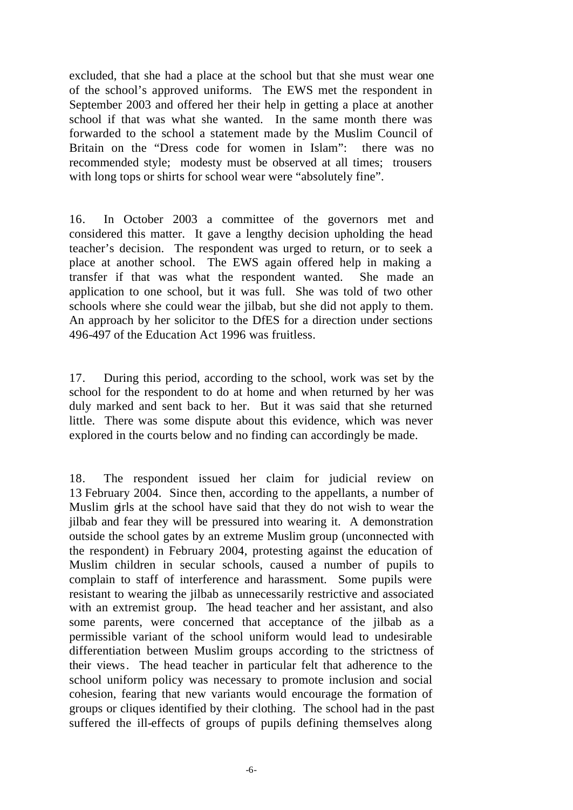excluded, that she had a place at the school but that she must wear one of the school's approved uniforms. The EWS met the respondent in September 2003 and offered her their help in getting a place at another school if that was what she wanted. In the same month there was forwarded to the school a statement made by the Muslim Council of Britain on the "Dress code for women in Islam": there was no recommended style; modesty must be observed at all times; trousers with long tops or shirts for school wear were "absolutely fine".

16. In October 2003 a committee of the governors met and considered this matter. It gave a lengthy decision upholding the head teacher's decision. The respondent was urged to return, or to seek a place at another school. The EWS again offered help in making a transfer if that was what the respondent wanted. She made an application to one school, but it was full. She was told of two other schools where she could wear the jilbab, but she did not apply to them. An approach by her solicitor to the DfES for a direction under sections 496-497 of the Education Act 1996 was fruitless.

17. During this period, according to the school, work was set by the school for the respondent to do at home and when returned by her was duly marked and sent back to her. But it was said that she returned little. There was some dispute about this evidence, which was never explored in the courts below and no finding can accordingly be made.

18. The respondent issued her claim for judicial review on 13 February 2004. Since then, according to the appellants, a number of Muslim girls at the school have said that they do not wish to wear the jilbab and fear they will be pressured into wearing it. A demonstration outside the school gates by an extreme Muslim group (unconnected with the respondent) in February 2004, protesting against the education of Muslim children in secular schools, caused a number of pupils to complain to staff of interference and harassment. Some pupils were resistant to wearing the jilbab as unnecessarily restrictive and associated with an extremist group. The head teacher and her assistant, and also some parents, were concerned that acceptance of the jilbab as a permissible variant of the school uniform would lead to undesirable differentiation between Muslim groups according to the strictness of their views. The head teacher in particular felt that adherence to the school uniform policy was necessary to promote inclusion and social cohesion, fearing that new variants would encourage the formation of groups or cliques identified by their clothing. The school had in the past suffered the ill-effects of groups of pupils defining themselves along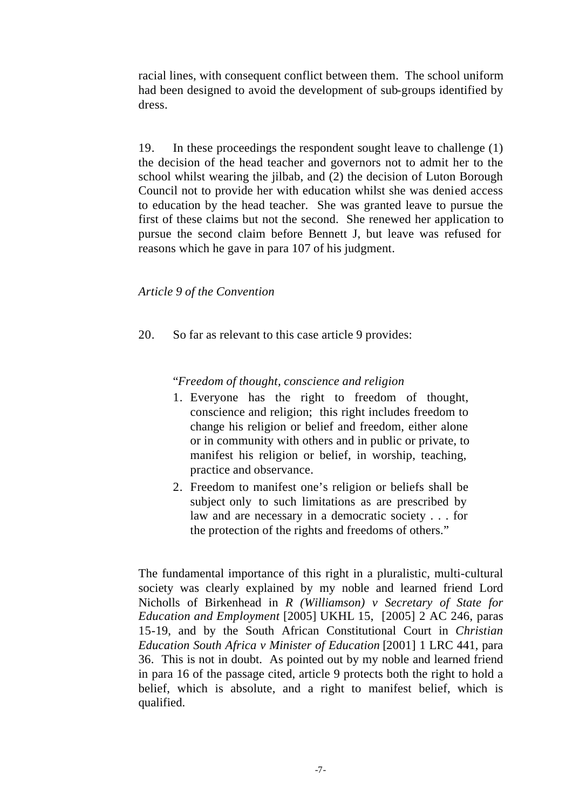racial lines, with consequent conflict between them. The school uniform had been designed to avoid the development of sub-groups identified by dress.

19. In these proceedings the respondent sought leave to challenge (1) the decision of the head teacher and governors not to admit her to the school whilst wearing the jilbab, and (2) the decision of Luton Borough Council not to provide her with education whilst she was denied access to education by the head teacher. She was granted leave to pursue the first of these claims but not the second. She renewed her application to pursue the second claim before Bennett J, but leave was refused for reasons which he gave in para 107 of his judgment.

## *Article 9 of the Convention*

20. So far as relevant to this case article 9 provides:

## "*Freedom of thought, conscience and religion*

- 1. Everyone has the right to freedom of thought, conscience and religion; this right includes freedom to change his religion or belief and freedom, either alone or in community with others and in public or private, to manifest his religion or belief, in worship, teaching, practice and observance.
- 2. Freedom to manifest one's religion or beliefs shall be subject only to such limitations as are prescribed by law and are necessary in a democratic society . . . for the protection of the rights and freedoms of others."

The fundamental importance of this right in a pluralistic, multi-cultural society was clearly explained by my noble and learned friend Lord Nicholls of Birkenhead in *R (Williamson) v Secretary of State for Education and Employment* [2005] UKHL 15, [2005] 2 AC 246, paras 15-19, and by the South African Constitutional Court in *Christian Education South Africa v Minister of Education* [2001] 1 LRC 441, para 36. This is not in doubt. As pointed out by my noble and learned friend in para 16 of the passage cited, article 9 protects both the right to hold a belief, which is absolute, and a right to manifest belief, which is qualified.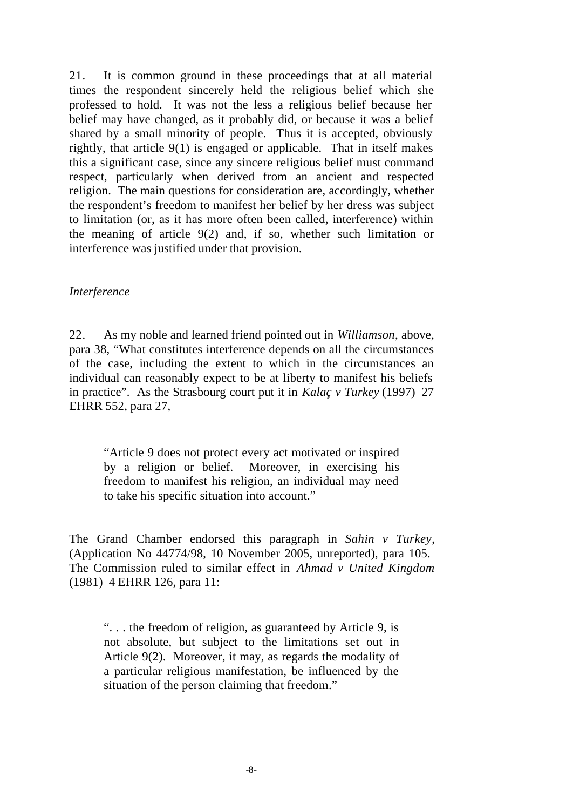21. It is common ground in these proceedings that at all material times the respondent sincerely held the religious belief which she professed to hold. It was not the less a religious belief because her belief may have changed, as it probably did, or because it was a belief shared by a small minority of people. Thus it is accepted, obviously rightly, that article 9(1) is engaged or applicable. That in itself makes this a significant case, since any sincere religious belief must command respect, particularly when derived from an ancient and respected religion. The main questions for consideration are, accordingly, whether the respondent's freedom to manifest her belief by her dress was subject to limitation (or, as it has more often been called, interference) within the meaning of article 9(2) and, if so, whether such limitation or interference was justified under that provision.

#### *Interference*

22. As my noble and learned friend pointed out in *Williamson*, above, para 38, "What constitutes interference depends on all the circumstances of the case, including the extent to which in the circumstances an individual can reasonably expect to be at liberty to manifest his beliefs in practice". As the Strasbourg court put it in *Kalaç v Turkey* (1997) 27 EHRR 552, para 27,

"Article 9 does not protect every act motivated or inspired by a religion or belief. Moreover, in exercising his freedom to manifest his religion, an individual may need to take his specific situation into account."

The Grand Chamber endorsed this paragraph in *Sahin v Turkey*, (Application No 44774/98, 10 November 2005, unreported), para 105. The Commission ruled to similar effect in *Ahmad v United Kingdom* (1981) 4 EHRR 126, para 11:

". . . the freedom of religion, as guaranteed by Article 9, is not absolute, but subject to the limitations set out in Article 9(2). Moreover, it may, as regards the modality of a particular religious manifestation, be influenced by the situation of the person claiming that freedom."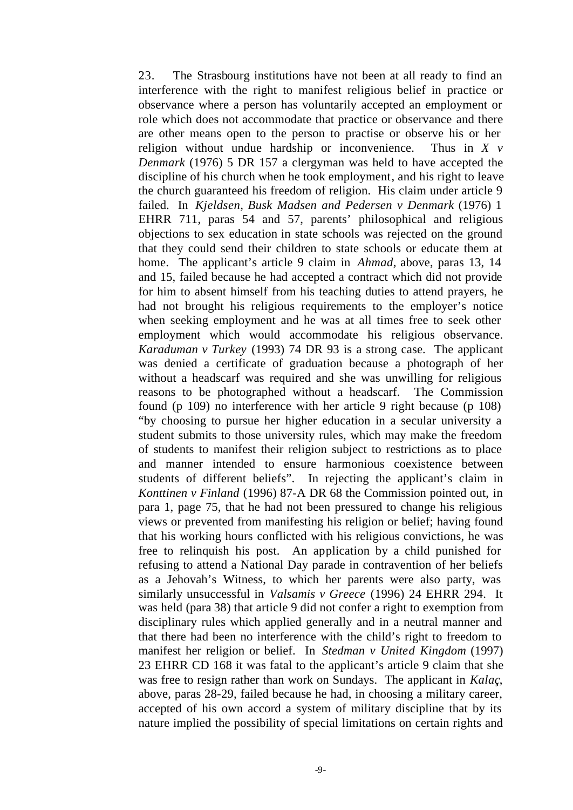23. The Strasbourg institutions have not been at all ready to find an interference with the right to manifest religious belief in practice or observance where a person has voluntarily accepted an employment or role which does not accommodate that practice or observance and there are other means open to the person to practise or observe his or her religion without undue hardship or inconvenience. Thus in *X v Denmark* (1976) 5 DR 157 a clergyman was held to have accepted the discipline of his church when he took employment, and his right to leave the church guaranteed his freedom of religion. His claim under article 9 failed. In *Kjeldsen, Busk Madsen and Pedersen v Denmark* (1976) 1 EHRR 711, paras 54 and 57, parents' philosophical and religious objections to sex education in state schools was rejected on the ground that they could send their children to state schools or educate them at home. The applicant's article 9 claim in *Ahmad,* above, paras 13, 14 and 15, failed because he had accepted a contract which did not provide for him to absent himself from his teaching duties to attend prayers, he had not brought his religious requirements to the employer's notice when seeking employment and he was at all times free to seek other employment which would accommodate his religious observance. *Karaduman v Turkey* (1993) 74 DR 93 is a strong case. The applicant was denied a certificate of graduation because a photograph of her without a headscarf was required and she was unwilling for religious reasons to be photographed without a headscarf. The Commission found (p 109) no interference with her article 9 right because (p 108) "by choosing to pursue her higher education in a secular university a student submits to those university rules, which may make the freedom of students to manifest their religion subject to restrictions as to place and manner intended to ensure harmonious coexistence between students of different beliefs". In rejecting the applicant's claim in *Konttinen v Finland* (1996) 87-A DR 68 the Commission pointed out, in para 1, page 75, that he had not been pressured to change his religious views or prevented from manifesting his religion or belief; having found that his working hours conflicted with his religious convictions, he was free to relinquish his post. An application by a child punished for refusing to attend a National Day parade in contravention of her beliefs as a Jehovah's Witness, to which her parents were also party, was similarly unsuccessful in *Valsamis v Greece* (1996) 24 EHRR 294. It was held (para 38) that article 9 did not confer a right to exemption from disciplinary rules which applied generally and in a neutral manner and that there had been no interference with the child's right to freedom to manifest her religion or belief. In *Stedman v United Kingdom* (1997) 23 EHRR CD 168 it was fatal to the applicant's article 9 claim that she was free to resign rather than work on Sundays. The applicant in *Kalaç*, above, paras 28-29, failed because he had, in choosing a military career, accepted of his own accord a system of military discipline that by its nature implied the possibility of special limitations on certain rights and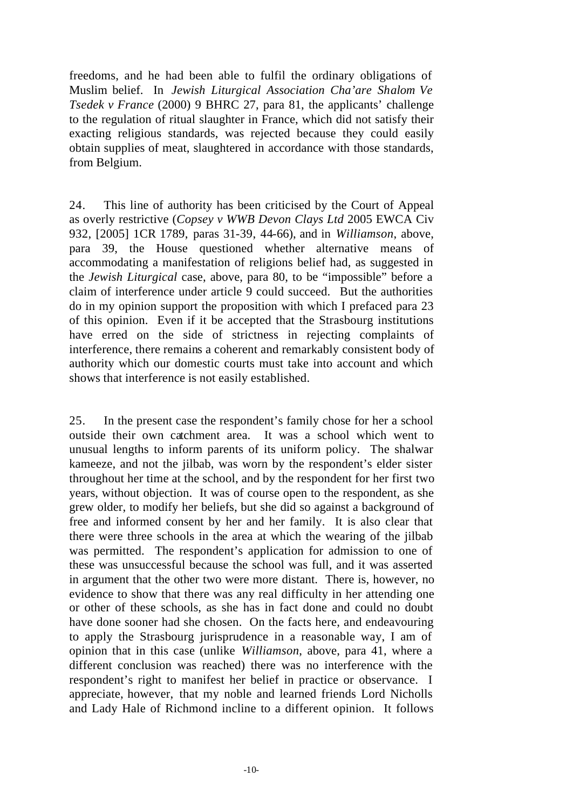freedoms, and he had been able to fulfil the ordinary obligations of Muslim belief. In *Jewish Liturgical Association Cha'are Shalom Ve Tsedek v France* (2000) 9 BHRC 27, para 81, the applicants' challenge to the regulation of ritual slaughter in France, which did not satisfy their exacting religious standards, was rejected because they could easily obtain supplies of meat, slaughtered in accordance with those standards, from Belgium.

24. This line of authority has been criticised by the Court of Appeal as overly restrictive (*Copsey v WWB Devon Clays Ltd* 2005 EWCA Civ 932, [2005] 1CR 1789, paras 31-39, 44-66), and in *Williamson*, above, para 39, the House questioned whether alternative means of accommodating a manifestation of religions belief had, as suggested in the *Jewish Liturgical* case, above, para 80, to be "impossible" before a claim of interference under article 9 could succeed. But the authorities do in my opinion support the proposition with which I prefaced para 23 of this opinion. Even if it be accepted that the Strasbourg institutions have erred on the side of strictness in rejecting complaints of interference, there remains a coherent and remarkably consistent body of authority which our domestic courts must take into account and which shows that interference is not easily established.

25. In the present case the respondent's family chose for her a school outside their own catchment area. It was a school which went to unusual lengths to inform parents of its uniform policy. The shalwar kameeze, and not the jilbab, was worn by the respondent's elder sister throughout her time at the school, and by the respondent for her first two years, without objection. It was of course open to the respondent, as she grew older, to modify her beliefs, but she did so against a background of free and informed consent by her and her family. It is also clear that there were three schools in the area at which the wearing of the jilbab was permitted. The respondent's application for admission to one of these was unsuccessful because the school was full, and it was asserted in argument that the other two were more distant. There is, however, no evidence to show that there was any real difficulty in her attending one or other of these schools, as she has in fact done and could no doubt have done sooner had she chosen. On the facts here, and endeavouring to apply the Strasbourg jurisprudence in a reasonable way, I am of opinion that in this case (unlike *Williamson*, above, para 41, where a different conclusion was reached) there was no interference with the respondent's right to manifest her belief in practice or observance. I appreciate, however, that my noble and learned friends Lord Nicholls and Lady Hale of Richmond incline to a different opinion. It follows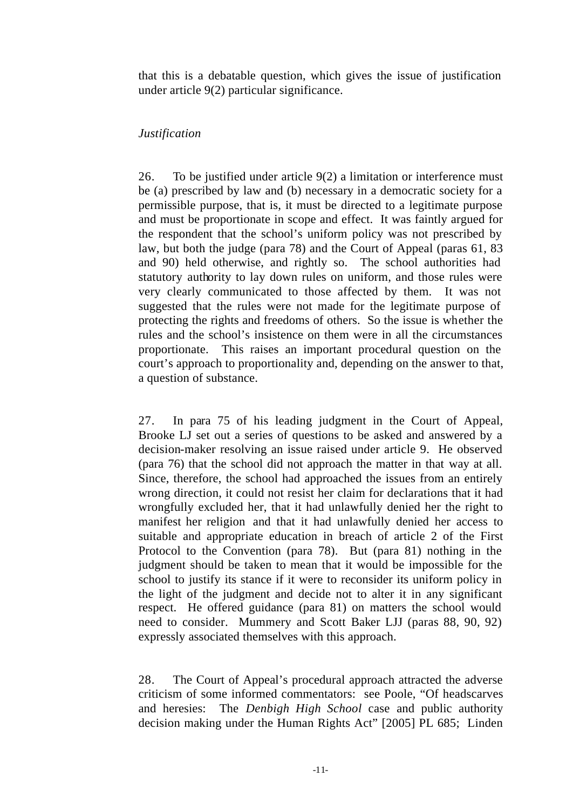that this is a debatable question, which gives the issue of justification under article 9(2) particular significance.

## *Justification*

26. To be justified under article 9(2) a limitation or interference must be (a) prescribed by law and (b) necessary in a democratic society for a permissible purpose, that is, it must be directed to a legitimate purpose and must be proportionate in scope and effect. It was faintly argued for the respondent that the school's uniform policy was not prescribed by law, but both the judge (para 78) and the Court of Appeal (paras 61, 83 and 90) held otherwise, and rightly so. The school authorities had statutory authority to lay down rules on uniform, and those rules were very clearly communicated to those affected by them. It was not suggested that the rules were not made for the legitimate purpose of protecting the rights and freedoms of others. So the issue is whether the rules and the school's insistence on them were in all the circumstances proportionate. This raises an important procedural question on the court's approach to proportionality and, depending on the answer to that, a question of substance.

27. In para 75 of his leading judgment in the Court of Appeal, Brooke LJ set out a series of questions to be asked and answered by a decision-maker resolving an issue raised under article 9. He observed (para 76) that the school did not approach the matter in that way at all. Since, therefore, the school had approached the issues from an entirely wrong direction, it could not resist her claim for declarations that it had wrongfully excluded her, that it had unlawfully denied her the right to manifest her religion and that it had unlawfully denied her access to suitable and appropriate education in breach of article 2 of the First Protocol to the Convention (para 78). But (para 81) nothing in the judgment should be taken to mean that it would be impossible for the school to justify its stance if it were to reconsider its uniform policy in the light of the judgment and decide not to alter it in any significant respect. He offered guidance (para 81) on matters the school would need to consider. Mummery and Scott Baker LJJ (paras 88, 90, 92) expressly associated themselves with this approach.

28. The Court of Appeal's procedural approach attracted the adverse criticism of some informed commentators: see Poole, "Of headscarves and heresies: The *Denbigh High School* case and public authority decision making under the Human Rights Act" [2005] PL 685; Linden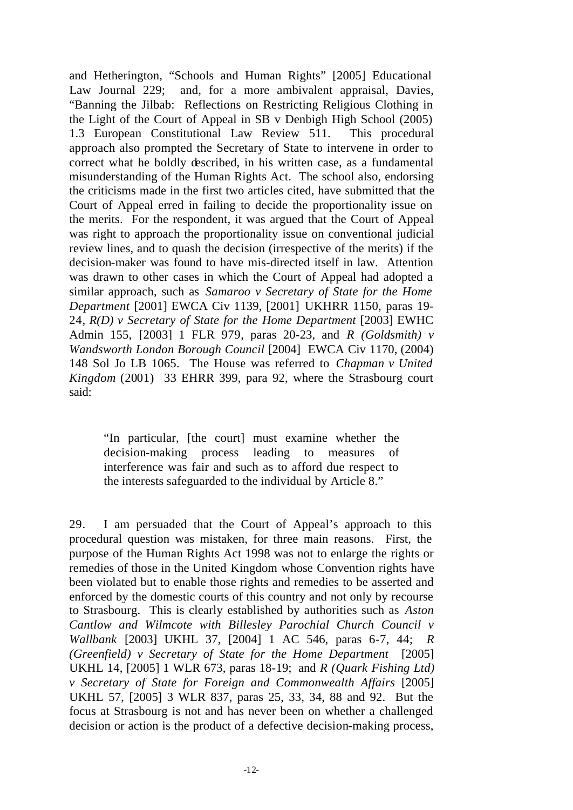and Hetherington, "Schools and Human Rights" [2005] Educational Law Journal 229; and, for a more ambivalent appraisal, Davies, "Banning the Jilbab: Reflections on Restricting Religious Clothing in the Light of the Court of Appeal in SB v Denbigh High School (2005) 1.3 European Constitutional Law Review 511. This procedural approach also prompted the Secretary of State to intervene in order to correct what he boldly described, in his written case, as a fundamental misunderstanding of the Human Rights Act. The school also, endorsing the criticisms made in the first two articles cited, have submitted that the Court of Appeal erred in failing to decide the proportionality issue on the merits. For the respondent, it was argued that the Court of Appeal was right to approach the proportionality issue on conventional judicial review lines, and to quash the decision (irrespective of the merits) if the decision-maker was found to have mis-directed itself in law. Attention was drawn to other cases in which the Court of Appeal had adopted a similar approach, such as *Samaroo v Secretary of State for the Home Department* [2001] EWCA Civ 1139, [2001] UKHRR 1150, paras 19- 24, *R(D) v Secretary of State for the Home Department* [2003] EWHC Admin 155, [2003] 1 FLR 979, paras 20-23, and *R (Goldsmith) v Wandsworth London Borough Council* [2004] EWCA Civ 1170, (2004) 148 Sol Jo LB 1065. The House was referred to *Chapman v United Kingdom* (2001) 33 EHRR 399, para 92, where the Strasbourg court said:

"In particular, [the court] must examine whether the decision-making process leading to measures of interference was fair and such as to afford due respect to the interests safeguarded to the individual by Article 8."

29. I am persuaded that the Court of Appeal's approach to this procedural question was mistaken, for three main reasons. First, the purpose of the Human Rights Act 1998 was not to enlarge the rights or remedies of those in the United Kingdom whose Convention rights have been violated but to enable those rights and remedies to be asserted and enforced by the domestic courts of this country and not only by recourse to Strasbourg. This is clearly established by authorities such as *Aston Cantlow and Wilmcote with Billesley Parochial Church Council v Wallbank* [2003] UKHL 37, [2004] 1 AC 546, paras 6-7, 44; *R (Greenfield) v Secretary of State for the Home Department* [2005] UKHL 14, [2005] 1 WLR 673, paras 18-19; and *R (Quark Fishing Ltd) v Secretary of State for Foreign and Commonwealth Affairs* [2005] UKHL 57, [2005] 3 WLR 837, paras 25, 33, 34, 88 and 92. But the focus at Strasbourg is not and has never been on whether a challenged decision or action is the product of a defective decision-making process,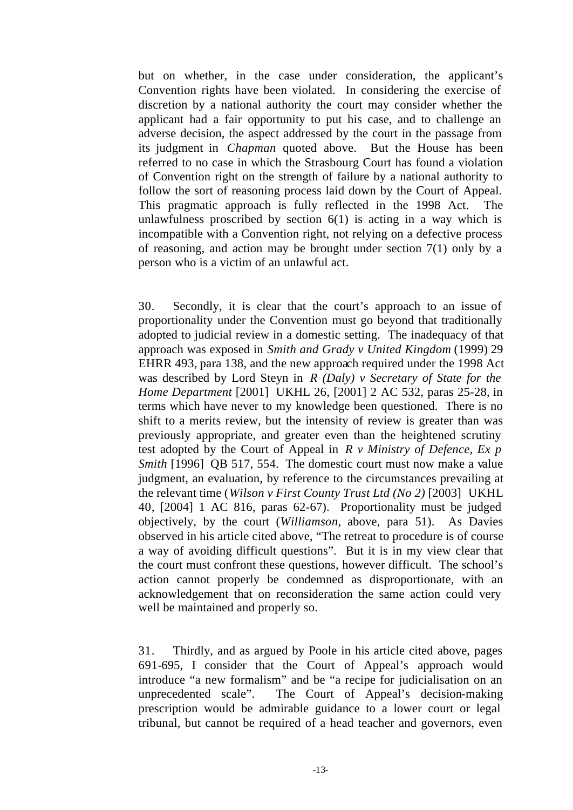but on whether, in the case under consideration, the applicant's Convention rights have been violated. In considering the exercise of discretion by a national authority the court may consider whether the applicant had a fair opportunity to put his case, and to challenge an adverse decision, the aspect addressed by the court in the passage from its judgment in *Chapman* quoted above. But the House has been referred to no case in which the Strasbourg Court has found a violation of Convention right on the strength of failure by a national authority to follow the sort of reasoning process laid down by the Court of Appeal. This pragmatic approach is fully reflected in the 1998 Act. The unlawfulness proscribed by section  $6(1)$  is acting in a way which is incompatible with a Convention right, not relying on a defective process of reasoning, and action may be brought under section 7(1) only by a person who is a victim of an unlawful act.

30. Secondly, it is clear that the court's approach to an issue of proportionality under the Convention must go beyond that traditionally adopted to judicial review in a domestic setting. The inadequacy of that approach was exposed in *Smith and Grady v United Kingdom* (1999) 29 EHRR 493, para 138, and the new approach required under the 1998 Act was described by Lord Steyn in *R (Daly) v Secretary of State for the Home Department* [2001] UKHL 26, [2001] 2 AC 532, paras 25-28, in terms which have never to my knowledge been questioned. There is no shift to a merits review, but the intensity of review is greater than was previously appropriate, and greater even than the heightened scrutiny test adopted by the Court of Appeal in *R v Ministry of Defence, Ex p Smith* [1996] QB 517, 554. The domestic court must now make a value judgment, an evaluation, by reference to the circumstances prevailing at the relevant time (*Wilson v First County Trust Ltd (No 2)* [2003] UKHL 40, [2004] 1 AC 816, paras 62-67). Proportionality must be judged objectively, by the court (*Williamson*, above, para 51). As Davies observed in his article cited above, "The retreat to procedure is of course a way of avoiding difficult questions". But it is in my view clear that the court must confront these questions, however difficult. The school's action cannot properly be condemned as disproportionate, with an acknowledgement that on reconsideration the same action could very well be maintained and properly so.

31. Thirdly, and as argued by Poole in his article cited above, pages 691-695, I consider that the Court of Appeal's approach would introduce "a new formalism" and be "a recipe for judicialisation on an unprecedented scale". The Court of Appeal's decision-making prescription would be admirable guidance to a lower court or legal tribunal, but cannot be required of a head teacher and governors, even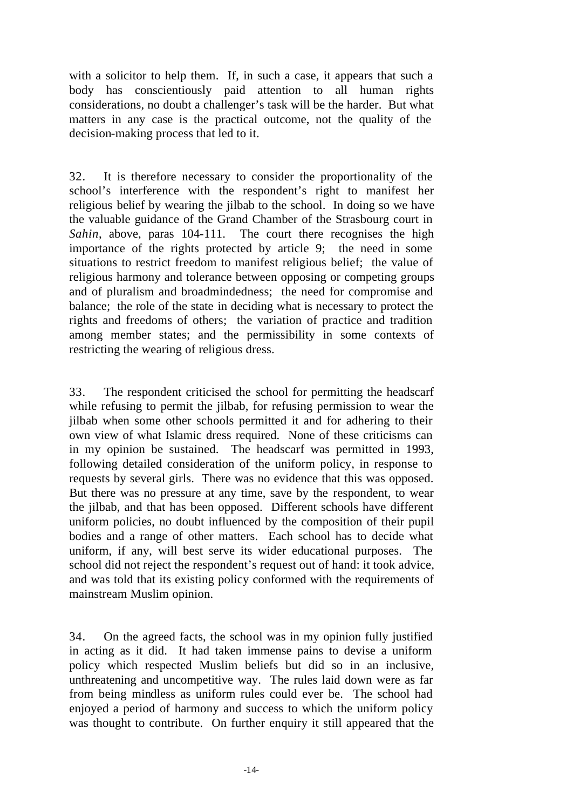with a solicitor to help them. If, in such a case, it appears that such a body has conscientiously paid attention to all human rights considerations, no doubt a challenger's task will be the harder. But what matters in any case is the practical outcome, not the quality of the decision-making process that led to it.

32. It is therefore necessary to consider the proportionality of the school's interference with the respondent's right to manifest her religious belief by wearing the jilbab to the school. In doing so we have the valuable guidance of the Grand Chamber of the Strasbourg court in *Sahin*, above, paras 104-111. The court there recognises the high importance of the rights protected by article 9; the need in some situations to restrict freedom to manifest religious belief; the value of religious harmony and tolerance between opposing or competing groups and of pluralism and broadmindedness; the need for compromise and balance; the role of the state in deciding what is necessary to protect the rights and freedoms of others; the variation of practice and tradition among member states; and the permissibility in some contexts of restricting the wearing of religious dress.

33. The respondent criticised the school for permitting the headscarf while refusing to permit the jilbab, for refusing permission to wear the jilbab when some other schools permitted it and for adhering to their own view of what Islamic dress required. None of these criticisms can in my opinion be sustained. The headscarf was permitted in 1993, following detailed consideration of the uniform policy, in response to requests by several girls. There was no evidence that this was opposed. But there was no pressure at any time, save by the respondent, to wear the jilbab, and that has been opposed. Different schools have different uniform policies, no doubt influenced by the composition of their pupil bodies and a range of other matters. Each school has to decide what uniform, if any, will best serve its wider educational purposes. The school did not reject the respondent's request out of hand: it took advice, and was told that its existing policy conformed with the requirements of mainstream Muslim opinion.

34. On the agreed facts, the school was in my opinion fully justified in acting as it did. It had taken immense pains to devise a uniform policy which respected Muslim beliefs but did so in an inclusive, unthreatening and uncompetitive way. The rules laid down were as far from being mindless as uniform rules could ever be. The school had enjoyed a period of harmony and success to which the uniform policy was thought to contribute. On further enquiry it still appeared that the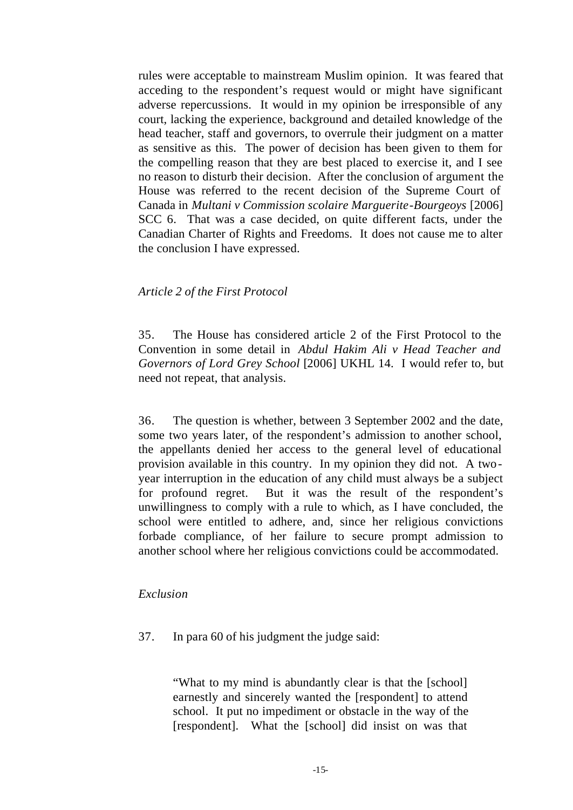rules were acceptable to mainstream Muslim opinion. It was feared that acceding to the respondent's request would or might have significant adverse repercussions. It would in my opinion be irresponsible of any court, lacking the experience, background and detailed knowledge of the head teacher, staff and governors, to overrule their judgment on a matter as sensitive as this. The power of decision has been given to them for the compelling reason that they are best placed to exercise it, and I see no reason to disturb their decision. After the conclusion of argument the House was referred to the recent decision of the Supreme Court of Canada in *Multani v Commission scolaire Marguerite-Bourgeoys* [2006] SCC 6. That was a case decided, on quite different facts, under the Canadian Charter of Rights and Freedoms. It does not cause me to alter the conclusion I have expressed.

#### *Article 2 of the First Protocol*

35. The House has considered article 2 of the First Protocol to the Convention in some detail in *Abdul Hakim Ali v Head Teacher and Governors of Lord Grey School* [2006] UKHL 14. I would refer to, but need not repeat, that analysis.

36. The question is whether, between 3 September 2002 and the date, some two years later, of the respondent's admission to another school, the appellants denied her access to the general level of educational provision available in this country. In my opinion they did not. A twoyear interruption in the education of any child must always be a subject for profound regret. But it was the result of the respondent's unwillingness to comply with a rule to which, as I have concluded, the school were entitled to adhere, and, since her religious convictions forbade compliance, of her failure to secure prompt admission to another school where her religious convictions could be accommodated.

## *Exclusion*

37. In para 60 of his judgment the judge said:

"What to my mind is abundantly clear is that the [school] earnestly and sincerely wanted the [respondent] to attend school. It put no impediment or obstacle in the way of the [respondent]. What the [school] did insist on was that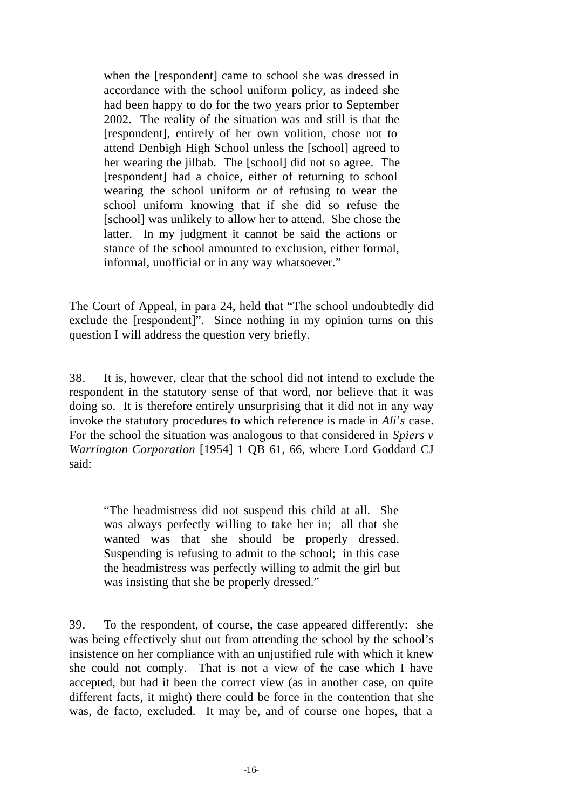when the [respondent] came to school she was dressed in accordance with the school uniform policy, as indeed she had been happy to do for the two years prior to September 2002. The reality of the situation was and still is that the [respondent], entirely of her own volition, chose not to attend Denbigh High School unless the [school] agreed to her wearing the jilbab. The [school] did not so agree. The [respondent] had a choice, either of returning to school wearing the school uniform or of refusing to wear the school uniform knowing that if she did so refuse the [school] was unlikely to allow her to attend. She chose the latter. In my judgment it cannot be said the actions or stance of the school amounted to exclusion, either formal, informal, unofficial or in any way whatsoever."

The Court of Appeal, in para 24, held that "The school undoubtedly did exclude the [respondent]". Since nothing in my opinion turns on this question I will address the question very briefly.

38. It is, however, clear that the school did not intend to exclude the respondent in the statutory sense of that word, nor believe that it was doing so. It is therefore entirely unsurprising that it did not in any way invoke the statutory procedures to which reference is made in *Ali*'*s* case. For the school the situation was analogous to that considered in *Spiers v Warrington Corporation* [1954] 1 QB 61, 66, where Lord Goddard CJ said:

"The headmistress did not suspend this child at all. She was always perfectly willing to take her in; all that she wanted was that she should be properly dressed. Suspending is refusing to admit to the school; in this case the headmistress was perfectly willing to admit the girl but was insisting that she be properly dressed."

39. To the respondent, of course, the case appeared differently: she was being effectively shut out from attending the school by the school's insistence on her compliance with an unjustified rule with which it knew she could not comply. That is not a view of the case which I have accepted, but had it been the correct view (as in another case, on quite different facts, it might) there could be force in the contention that she was, de facto, excluded. It may be, and of course one hopes, that a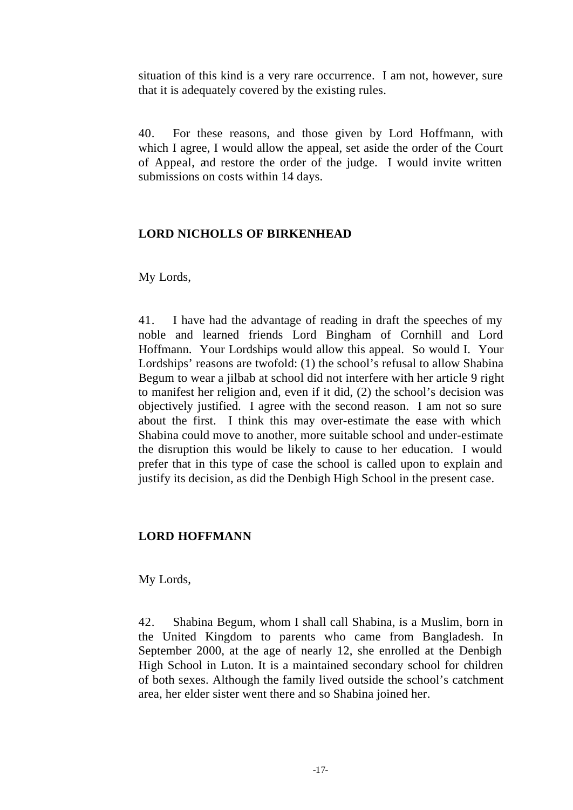situation of this kind is a very rare occurrence. I am not, however, sure that it is adequately covered by the existing rules.

40. For these reasons, and those given by Lord Hoffmann, with which I agree, I would allow the appeal, set aside the order of the Court of Appeal, and restore the order of the judge. I would invite written submissions on costs within 14 days.

## **LORD NICHOLLS OF BIRKENHEAD**

## My Lords,

41. I have had the advantage of reading in draft the speeches of my noble and learned friends Lord Bingham of Cornhill and Lord Hoffmann. Your Lordships would allow this appeal. So would I. Your Lordships' reasons are twofold: (1) the school's refusal to allow Shabina Begum to wear a jilbab at school did not interfere with her article 9 right to manifest her religion and, even if it did, (2) the school's decision was objectively justified. I agree with the second reason. I am not so sure about the first. I think this may over-estimate the ease with which Shabina could move to another, more suitable school and under-estimate the disruption this would be likely to cause to her education. I would prefer that in this type of case the school is called upon to explain and justify its decision, as did the Denbigh High School in the present case.

## **LORD HOFFMANN**

My Lords,

42. Shabina Begum, whom I shall call Shabina, is a Muslim, born in the United Kingdom to parents who came from Bangladesh. In September 2000, at the age of nearly 12, she enrolled at the Denbigh High School in Luton. It is a maintained secondary school for children of both sexes. Although the family lived outside the school's catchment area, her elder sister went there and so Shabina joined her.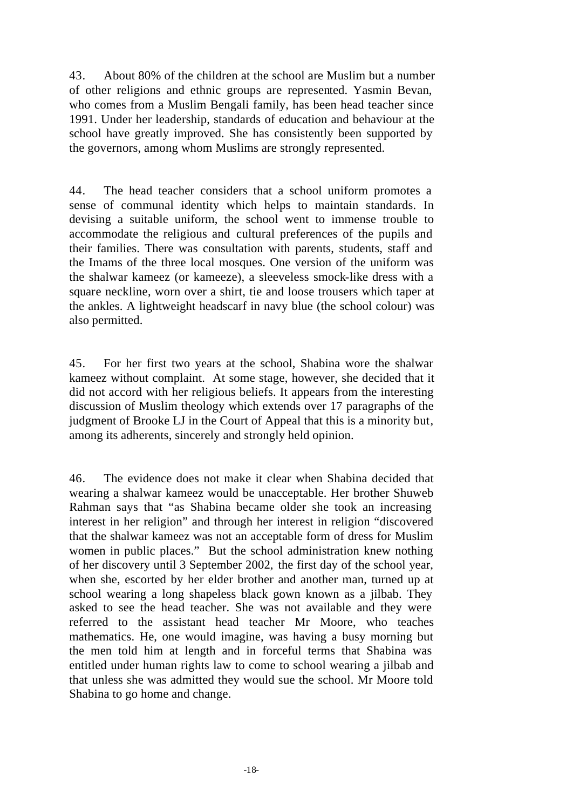43. About 80% of the children at the school are Muslim but a number of other religions and ethnic groups are represented. Yasmin Bevan, who comes from a Muslim Bengali family, has been head teacher since 1991. Under her leadership, standards of education and behaviour at the school have greatly improved. She has consistently been supported by the governors, among whom Muslims are strongly represented.

44. The head teacher considers that a school uniform promotes a sense of communal identity which helps to maintain standards. In devising a suitable uniform, the school went to immense trouble to accommodate the religious and cultural preferences of the pupils and their families. There was consultation with parents, students, staff and the Imams of the three local mosques. One version of the uniform was the shalwar kameez (or kameeze), a sleeveless smock-like dress with a square neckline, worn over a shirt, tie and loose trousers which taper at the ankles. A lightweight headscarf in navy blue (the school colour) was also permitted.

45. For her first two years at the school, Shabina wore the shalwar kameez without complaint. At some stage, however, she decided that it did not accord with her religious beliefs. It appears from the interesting discussion of Muslim theology which extends over 17 paragraphs of the judgment of Brooke LJ in the Court of Appeal that this is a minority but, among its adherents, sincerely and strongly held opinion.

46. The evidence does not make it clear when Shabina decided that wearing a shalwar kameez would be unacceptable. Her brother Shuweb Rahman says that "as Shabina became older she took an increasing interest in her religion" and through her interest in religion "discovered that the shalwar kameez was not an acceptable form of dress for Muslim women in public places." But the school administration knew nothing of her discovery until 3 September 2002, the first day of the school year, when she, escorted by her elder brother and another man, turned up at school wearing a long shapeless black gown known as a jilbab. They asked to see the head teacher. She was not available and they were referred to the assistant head teacher Mr Moore, who teaches mathematics. He, one would imagine, was having a busy morning but the men told him at length and in forceful terms that Shabina was entitled under human rights law to come to school wearing a jilbab and that unless she was admitted they would sue the school. Mr Moore told Shabina to go home and change.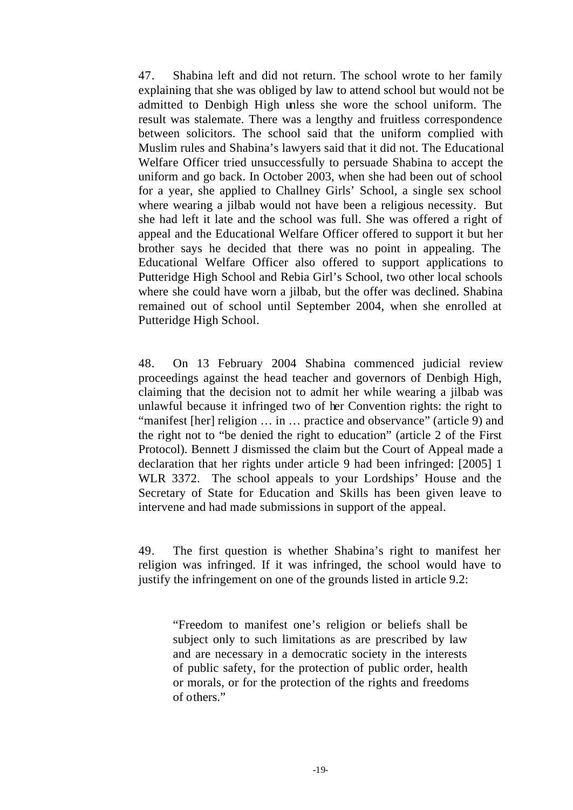47. Shabina left and did not return. The school wrote to her family explaining that she was obliged by law to attend school but would not be admitted to Denbigh High unless she wore the school uniform. The result was stalemate. There was a lengthy and fruitless correspondence between solicitors. The school said that the uniform complied with Muslim rules and Shabina's lawyers said that it did not. The Educational Welfare Officer tried unsuccessfully to persuade Shabina to accept the uniform and go back. In October 2003, when she had been out of school for a year, she applied to Challney Girls' School, a single sex school where wearing a jilbab would not have been a religious necessity. But she had left it late and the school was full. She was offered a right of appeal and the Educational Welfare Officer offered to support it but her brother says he decided that there was no point in appealing. The Educational Welfare Officer also offered to support applications to Putteridge High School and Rebia Girl's School, two other local schools where she could have worn a jilbab, but the offer was declined. Shabina remained out of school until September 2004, when she enrolled at Putteridge High School.

48. On 13 February 2004 Shabina commenced judicial review proceedings against the head teacher and governors of Denbigh High, claiming that the decision not to admit her while wearing a jilbab was unlawful because it infringed two of her Convention rights: the right to "manifest [her] religion ... in ... practice and observance" (article 9) and the right not to "be denied the right to education" (article 2 of the First Protocol). Bennett J dismissed the claim but the Court of Appeal made a declaration that her rights under article 9 had been infringed: [2005] 1 WLR 3372. The school appeals to your Lordships' House and the Secretary of State for Education and Skills has been given leave to intervene and had made submissions in support of the appeal.

49. The first question is whether Shabina's right to manifest her religion was infringed. If it was infringed, the school would have to justify the infringement on one of the grounds listed in article 9.2:

"Freedom to manifest one's religion or beliefs shall be subject only to such limitations as are prescribed by law and are necessary in a democratic society in the interests of public safety, for the protection of public order, health or morals, or for the protection of the rights and freedoms of others."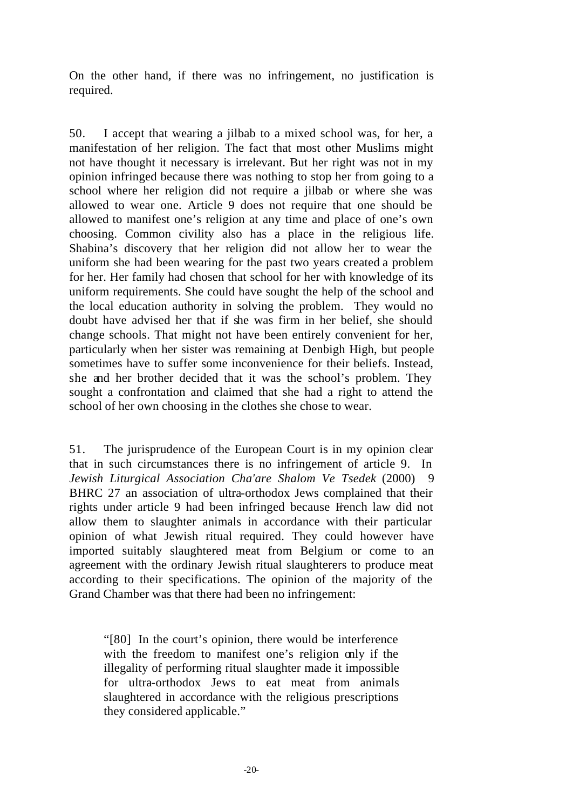On the other hand, if there was no infringement, no justification is required.

50. I accept that wearing a jilbab to a mixed school was, for her, a manifestation of her religion. The fact that most other Muslims might not have thought it necessary is irrelevant. But her right was not in my opinion infringed because there was nothing to stop her from going to a school where her religion did not require a jilbab or where she was allowed to wear one. Article 9 does not require that one should be allowed to manifest one's religion at any time and place of one's own choosing. Common civility also has a place in the religious life. Shabina's discovery that her religion did not allow her to wear the uniform she had been wearing for the past two years created a problem for her. Her family had chosen that school for her with knowledge of its uniform requirements. She could have sought the help of the school and the local education authority in solving the problem. They would no doubt have advised her that if she was firm in her belief, she should change schools. That might not have been entirely convenient for her, particularly when her sister was remaining at Denbigh High, but people sometimes have to suffer some inconvenience for their beliefs. Instead, she and her brother decided that it was the school's problem. They sought a confrontation and claimed that she had a right to attend the school of her own choosing in the clothes she chose to wear.

51. The jurisprudence of the European Court is in my opinion clear that in such circumstances there is no infringement of article 9. In *Jewish Liturgical Association Cha'are Shalom Ve Tsedek* (2000) 9 BHRC 27 an association of ultra-orthodox Jews complained that their rights under article 9 had been infringed because French law did not allow them to slaughter animals in accordance with their particular opinion of what Jewish ritual required. They could however have imported suitably slaughtered meat from Belgium or come to an agreement with the ordinary Jewish ritual slaughterers to produce meat according to their specifications. The opinion of the majority of the Grand Chamber was that there had been no infringement:

"[80] In the court's opinion, there would be interference with the freedom to manifest one's religion only if the illegality of performing ritual slaughter made it impossible for ultra-orthodox Jews to eat meat from animals slaughtered in accordance with the religious prescriptions they considered applicable."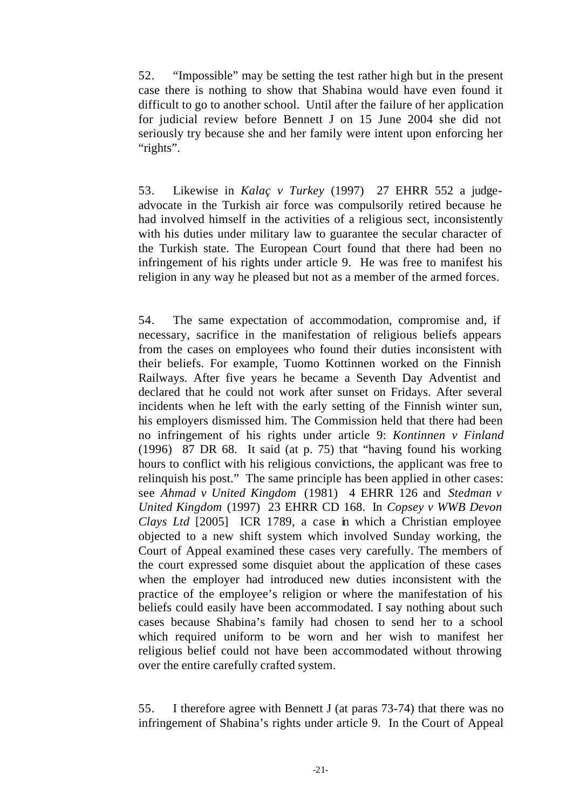52. "Impossible" may be setting the test rather high but in the present case there is nothing to show that Shabina would have even found it difficult to go to another school. Until after the failure of her application for judicial review before Bennett J on 15 June 2004 she did not seriously try because she and her family were intent upon enforcing her "rights".

53. Likewise in *Kalaç v Turkey* (1997) 27 EHRR 552 a judgeadvocate in the Turkish air force was compulsorily retired because he had involved himself in the activities of a religious sect, inconsistently with his duties under military law to guarantee the secular character of the Turkish state. The European Court found that there had been no infringement of his rights under article 9. He was free to manifest his religion in any way he pleased but not as a member of the armed forces.

54. The same expectation of accommodation, compromise and, if necessary, sacrifice in the manifestation of religious beliefs appears from the cases on employees who found their duties inconsistent with their beliefs. For example, Tuomo Kottinnen worked on the Finnish Railways. After five years he became a Seventh Day Adventist and declared that he could not work after sunset on Fridays. After several incidents when he left with the early setting of the Finnish winter sun, his employers dismissed him. The Commission held that there had been no infringement of his rights under article 9: *Kontinnen v Finland* (1996) 87 DR 68. It said (at p. 75) that "having found his working hours to conflict with his religious convictions, the applicant was free to relinquish his post." The same principle has been applied in other cases: see *Ahmad v United Kingdom* (1981) 4 EHRR 126 and *Stedman v United Kingdom* (1997) 23 EHRR CD 168. In *Copsey v WWB Devon Clays Ltd* [2005] ICR 1789, a case in which a Christian employee objected to a new shift system which involved Sunday working, the Court of Appeal examined these cases very carefully. The members of the court expressed some disquiet about the application of these cases when the employer had introduced new duties inconsistent with the practice of the employee's religion or where the manifestation of his beliefs could easily have been accommodated. I say nothing about such cases because Shabina's family had chosen to send her to a school which required uniform to be worn and her wish to manifest her religious belief could not have been accommodated without throwing over the entire carefully crafted system.

55. I therefore agree with Bennett J (at paras 73-74) that there was no infringement of Shabina's rights under article 9. In the Court of Appeal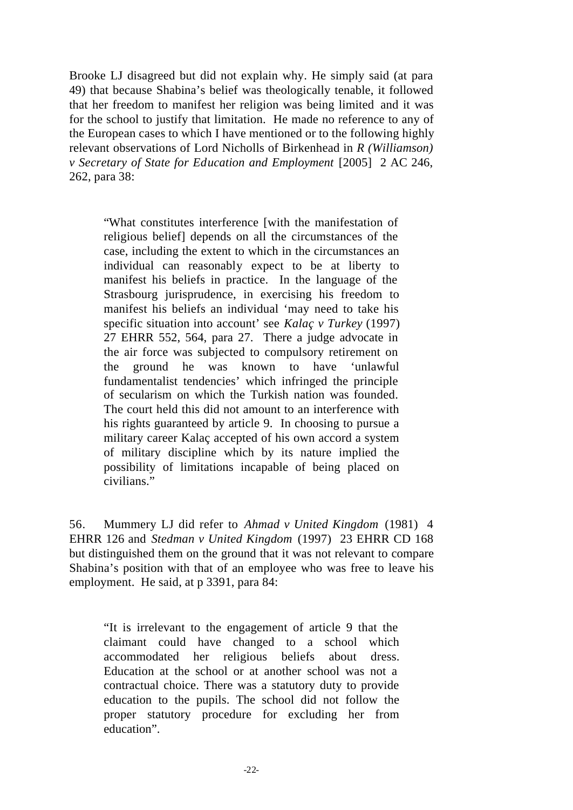Brooke LJ disagreed but did not explain why. He simply said (at para 49) that because Shabina's belief was theologically tenable, it followed that her freedom to manifest her religion was being limited and it was for the school to justify that limitation. He made no reference to any of the European cases to which I have mentioned or to the following highly relevant observations of Lord Nicholls of Birkenhead in *R (Williamson) v Secretary of State for Education and Employment* [2005] 2 AC 246, 262, para 38:

"What constitutes interference [with the manifestation of religious belief] depends on all the circumstances of the case, including the extent to which in the circumstances an individual can reasonably expect to be at liberty to manifest his beliefs in practice. In the language of the Strasbourg jurisprudence, in exercising his freedom to manifest his beliefs an individual 'may need to take his specific situation into account' see *Kalaç v Turkey* (1997) 27 EHRR 552, 564, para 27. There a judge advocate in the air force was subjected to compulsory retirement on the ground he was known to have 'unlawful fundamentalist tendencies' which infringed the principle of secularism on which the Turkish nation was founded. The court held this did not amount to an interference with his rights guaranteed by article 9. In choosing to pursue a military career Kalaç accepted of his own accord a system of military discipline which by its nature implied the possibility of limitations incapable of being placed on civilians."

56. Mummery LJ did refer to *Ahmad v United Kingdom* (1981) 4 EHRR 126 and *Stedman v United Kingdom* (1997) 23 EHRR CD 168 but distinguished them on the ground that it was not relevant to compare Shabina's position with that of an employee who was free to leave his employment. He said, at p 3391, para 84:

"It is irrelevant to the engagement of article 9 that the claimant could have changed to a school which accommodated her religious beliefs about dress. Education at the school or at another school was not a contractual choice. There was a statutory duty to provide education to the pupils. The school did not follow the proper statutory procedure for excluding her from education".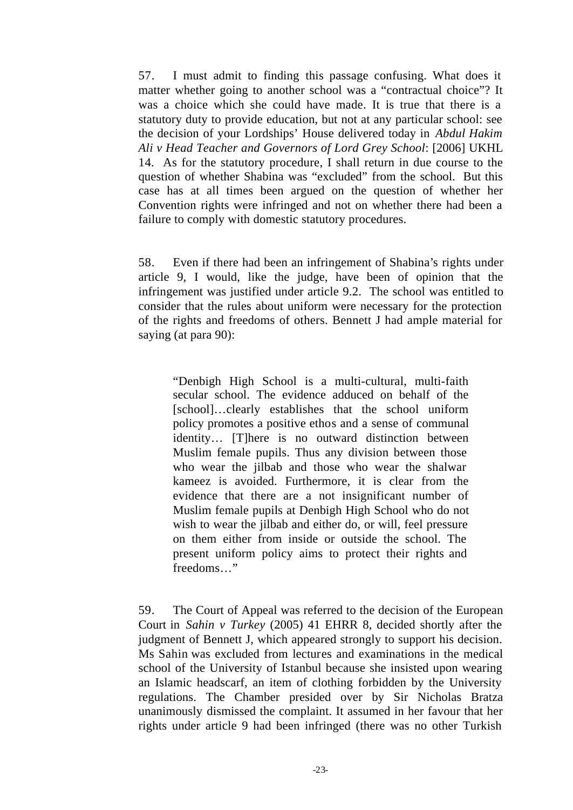57. I must admit to finding this passage confusing. What does it matter whether going to another school was a "contractual choice"? It was a choice which she could have made. It is true that there is a statutory duty to provide education, but not at any particular school: see the decision of your Lordships' House delivered today in *Abdul Hakim Ali v Head Teacher and Governors of Lord Grey School*: [2006] UKHL 14*.* As for the statutory procedure, I shall return in due course to the question of whether Shabina was "excluded" from the school. But this case has at all times been argued on the question of whether her Convention rights were infringed and not on whether there had been a failure to comply with domestic statutory procedures.

58. Even if there had been an infringement of Shabina's rights under article 9, I would, like the judge, have been of opinion that the infringement was justified under article 9.2. The school was entitled to consider that the rules about uniform were necessary for the protection of the rights and freedoms of others. Bennett J had ample material for saying (at para 90):

"Denbigh High School is a multi-cultural, multi-faith secular school. The evidence adduced on behalf of the [school]…clearly establishes that the school uniform policy promotes a positive ethos and a sense of communal identity… [T]here is no outward distinction between Muslim female pupils. Thus any division between those who wear the jilbab and those who wear the shalwar kameez is avoided. Furthermore, it is clear from the evidence that there are a not insignificant number of Muslim female pupils at Denbigh High School who do not wish to wear the jilbab and either do, or will, feel pressure on them either from inside or outside the school. The present uniform policy aims to protect their rights and freedoms…"

59. The Court of Appeal was referred to the decision of the European Court in *Sahin v Turkey* (2005) 41 EHRR 8, decided shortly after the judgment of Bennett J, which appeared strongly to support his decision. Ms Sahin was excluded from lectures and examinations in the medical school of the University of Istanbul because she insisted upon wearing an Islamic headscarf, an item of clothing forbidden by the University regulations. The Chamber presided over by Sir Nicholas Bratza unanimously dismissed the complaint. It assumed in her favour that her rights under article 9 had been infringed (there was no other Turkish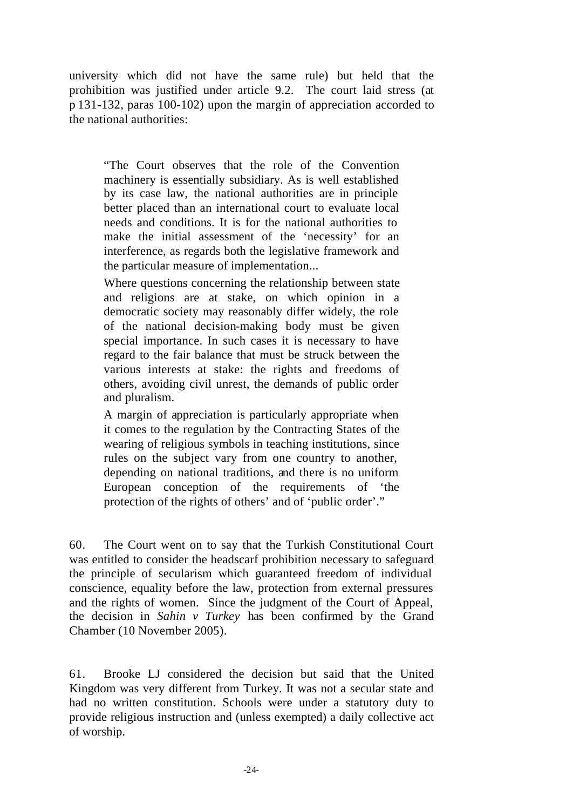university which did not have the same rule) but held that the prohibition was justified under article 9.2. The court laid stress (at p 131-132, paras 100-102) upon the margin of appreciation accorded to the national authorities:

"The Court observes that the role of the Convention machinery is essentially subsidiary. As is well established by its case law, the national authorities are in principle better placed than an international court to evaluate local needs and conditions. It is for the national authorities to make the initial assessment of the 'necessity' for an interference, as regards both the legislative framework and the particular measure of implementation...

Where questions concerning the relationship between state and religions are at stake, on which opinion in a democratic society may reasonably differ widely, the role of the national decision-making body must be given special importance. In such cases it is necessary to have regard to the fair balance that must be struck between the various interests at stake: the rights and freedoms of others, avoiding civil unrest, the demands of public order and pluralism.

A margin of appreciation is particularly appropriate when it comes to the regulation by the Contracting States of the wearing of religious symbols in teaching institutions, since rules on the subject vary from one country to another, depending on national traditions, and there is no uniform European conception of the requirements of 'the protection of the rights of others' and of 'public order'."

60. The Court went on to say that the Turkish Constitutional Court was entitled to consider the headscarf prohibition necessary to safeguard the principle of secularism which guaranteed freedom of individual conscience, equality before the law, protection from external pressures and the rights of women. Since the judgment of the Court of Appeal, the decision in *Sahin v Turkey* has been confirmed by the Grand Chamber (10 November 2005).

61. Brooke LJ considered the decision but said that the United Kingdom was very different from Turkey. It was not a secular state and had no written constitution. Schools were under a statutory duty to provide religious instruction and (unless exempted) a daily collective act of worship.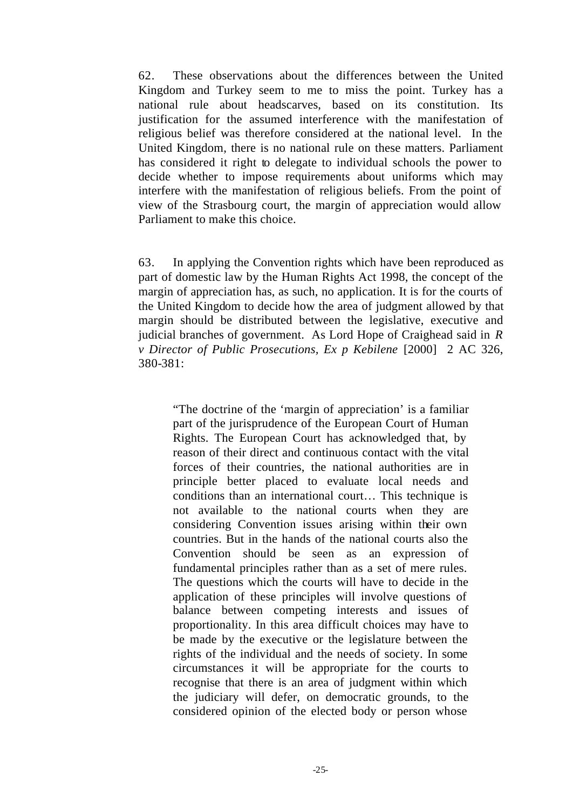62. These observations about the differences between the United Kingdom and Turkey seem to me to miss the point. Turkey has a national rule about headscarves, based on its constitution. Its justification for the assumed interference with the manifestation of religious belief was therefore considered at the national level. In the United Kingdom, there is no national rule on these matters. Parliament has considered it right to delegate to individual schools the power to decide whether to impose requirements about uniforms which may interfere with the manifestation of religious beliefs. From the point of view of the Strasbourg court, the margin of appreciation would allow Parliament to make this choice.

63. In applying the Convention rights which have been reproduced as part of domestic law by the Human Rights Act 1998, the concept of the margin of appreciation has, as such, no application. It is for the courts of the United Kingdom to decide how the area of judgment allowed by that margin should be distributed between the legislative, executive and judicial branches of government. As Lord Hope of Craighead said in *R v Director of Public Prosecutions, Ex p Kebilene* [2000] 2 AC 326, 380-381:

"The doctrine of the 'margin of appreciation' is a familiar part of the jurisprudence of the European Court of Human Rights. The European Court has acknowledged that, by reason of their direct and continuous contact with the vital forces of their countries, the national authorities are in principle better placed to evaluate local needs and conditions than an international court… This technique is not available to the national courts when they are considering Convention issues arising within their own countries. But in the hands of the national courts also the Convention should be seen as an expression of fundamental principles rather than as a set of mere rules. The questions which the courts will have to decide in the application of these principles will involve questions of balance between competing interests and issues of proportionality. In this area difficult choices may have to be made by the executive or the legislature between the rights of the individual and the needs of society. In some circumstances it will be appropriate for the courts to recognise that there is an area of judgment within which the judiciary will defer, on democratic grounds, to the considered opinion of the elected body or person whose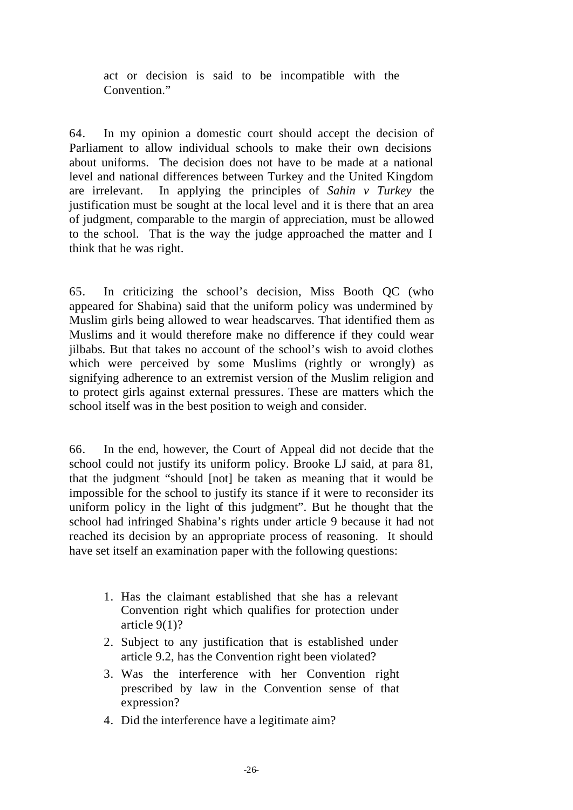act or decision is said to be incompatible with the Convention."

64. In my opinion a domestic court should accept the decision of Parliament to allow individual schools to make their own decisions about uniforms. The decision does not have to be made at a national level and national differences between Turkey and the United Kingdom are irrelevant. In applying the principles of *Sahin v Turkey* the justification must be sought at the local level and it is there that an area of judgment, comparable to the margin of appreciation, must be allowed to the school. That is the way the judge approached the matter and I think that he was right.

65. In criticizing the school's decision, Miss Booth QC (who appeared for Shabina) said that the uniform policy was undermined by Muslim girls being allowed to wear headscarves. That identified them as Muslims and it would therefore make no difference if they could wear jilbabs. But that takes no account of the school's wish to avoid clothes which were perceived by some Muslims (rightly or wrongly) as signifying adherence to an extremist version of the Muslim religion and to protect girls against external pressures. These are matters which the school itself was in the best position to weigh and consider.

66. In the end, however, the Court of Appeal did not decide that the school could not justify its uniform policy. Brooke LJ said, at para 81, that the judgment "should [not] be taken as meaning that it would be impossible for the school to justify its stance if it were to reconsider its uniform policy in the light of this judgment". But he thought that the school had infringed Shabina's rights under article 9 because it had not reached its decision by an appropriate process of reasoning. It should have set itself an examination paper with the following questions:

- 1. Has the claimant established that she has a relevant Convention right which qualifies for protection under article 9(1)?
- 2. Subject to any justification that is established under article 9.2, has the Convention right been violated?
- 3. Was the interference with her Convention right prescribed by law in the Convention sense of that expression?
- 4. Did the interference have a legitimate aim?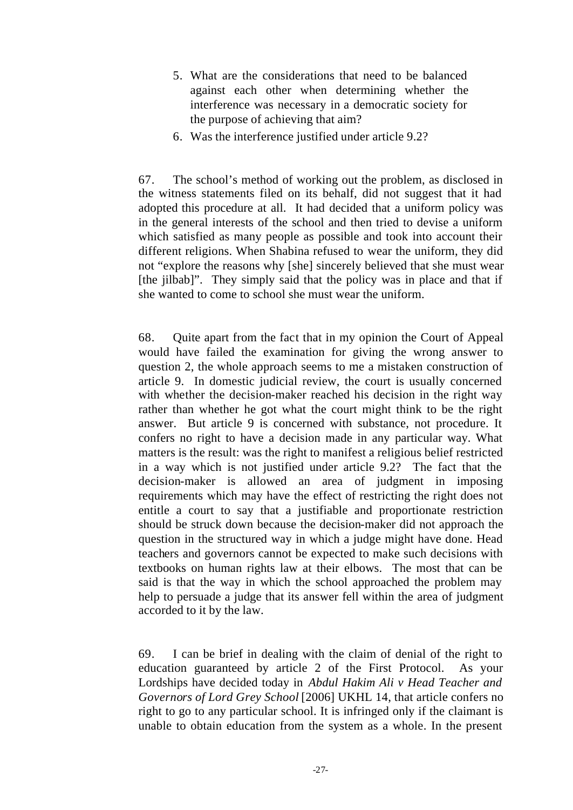- 5. What are the considerations that need to be balanced against each other when determining whether the interference was necessary in a democratic society for the purpose of achieving that aim?
- 6. Was the interference justified under article 9.2?

67. The school's method of working out the problem, as disclosed in the witness statements filed on its behalf, did not suggest that it had adopted this procedure at all. It had decided that a uniform policy was in the general interests of the school and then tried to devise a uniform which satisfied as many people as possible and took into account their different religions. When Shabina refused to wear the uniform, they did not "explore the reasons why [she] sincerely believed that she must wear [the jilbab]". They simply said that the policy was in place and that if she wanted to come to school she must wear the uniform.

68. Quite apart from the fact that in my opinion the Court of Appeal would have failed the examination for giving the wrong answer to question 2, the whole approach seems to me a mistaken construction of article 9. In domestic judicial review, the court is usually concerned with whether the decision-maker reached his decision in the right way rather than whether he got what the court might think to be the right answer. But article 9 is concerned with substance, not procedure. It confers no right to have a decision made in any particular way. What matters is the result: was the right to manifest a religious belief restricted in a way which is not justified under article 9.2? The fact that the decision-maker is allowed an area of judgment in imposing requirements which may have the effect of restricting the right does not entitle a court to say that a justifiable and proportionate restriction should be struck down because the decision-maker did not approach the question in the structured way in which a judge might have done. Head teachers and governors cannot be expected to make such decisions with textbooks on human rights law at their elbows. The most that can be said is that the way in which the school approached the problem may help to persuade a judge that its answer fell within the area of judgment accorded to it by the law.

69. I can be brief in dealing with the claim of denial of the right to education guaranteed by article 2 of the First Protocol. As your Lordships have decided today in *Abdul Hakim Ali v Head Teacher and Governors of Lord Grey School* [2006] UKHL 14, that article confers no right to go to any particular school. It is infringed only if the claimant is unable to obtain education from the system as a whole. In the present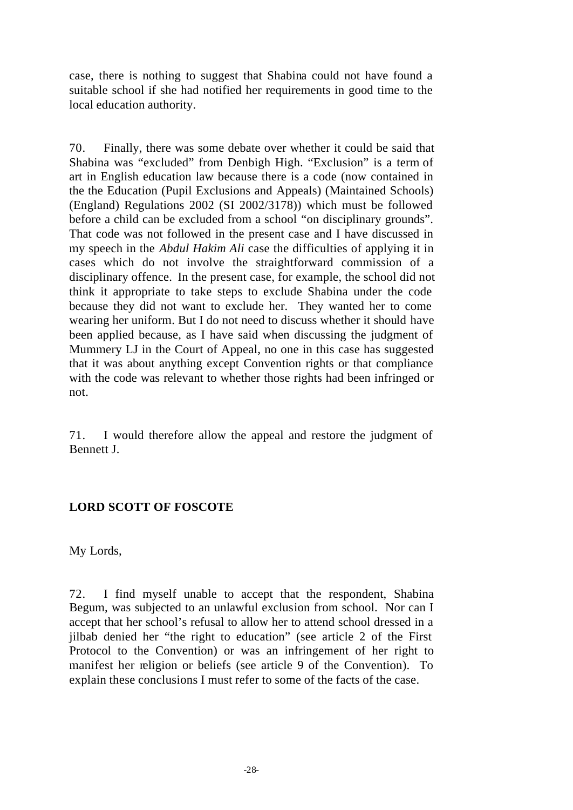case, there is nothing to suggest that Shabina could not have found a suitable school if she had notified her requirements in good time to the local education authority.

70. Finally, there was some debate over whether it could be said that Shabina was "excluded" from Denbigh High. "Exclusion" is a term of art in English education law because there is a code (now contained in the the Education (Pupil Exclusions and Appeals) (Maintained Schools) (England) Regulations 2002 (SI 2002/3178)) which must be followed before a child can be excluded from a school "on disciplinary grounds". That code was not followed in the present case and I have discussed in my speech in the *Abdul Hakim Ali* case the difficulties of applying it in cases which do not involve the straightforward commission of a disciplinary offence. In the present case, for example, the school did not think it appropriate to take steps to exclude Shabina under the code because they did not want to exclude her. They wanted her to come wearing her uniform. But I do not need to discuss whether it should have been applied because, as I have said when discussing the judgment of Mummery LJ in the Court of Appeal, no one in this case has suggested that it was about anything except Convention rights or that compliance with the code was relevant to whether those rights had been infringed or not.

71. I would therefore allow the appeal and restore the judgment of Bennett J.

## **LORD SCOTT OF FOSCOTE**

My Lords,

72. I find myself unable to accept that the respondent, Shabina Begum, was subjected to an unlawful exclusion from school. Nor can I accept that her school's refusal to allow her to attend school dressed in a jilbab denied her "the right to education" (see article 2 of the First Protocol to the Convention) or was an infringement of her right to manifest her religion or beliefs (see article 9 of the Convention). To explain these conclusions I must refer to some of the facts of the case.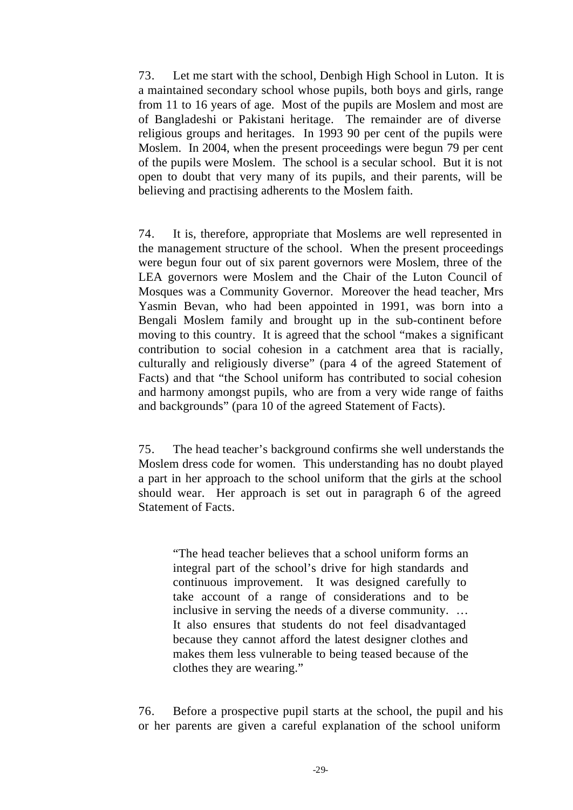73. Let me start with the school, Denbigh High School in Luton. It is a maintained secondary school whose pupils, both boys and girls, range from 11 to 16 years of age. Most of the pupils are Moslem and most are of Bangladeshi or Pakistani heritage. The remainder are of diverse religious groups and heritages. In 1993 90 per cent of the pupils were Moslem. In 2004, when the present proceedings were begun 79 per cent of the pupils were Moslem. The school is a secular school. But it is not open to doubt that very many of its pupils, and their parents, will be believing and practising adherents to the Moslem faith.

74. It is, therefore, appropriate that Moslems are well represented in the management structure of the school. When the present proceedings were begun four out of six parent governors were Moslem, three of the LEA governors were Moslem and the Chair of the Luton Council of Mosques was a Community Governor. Moreover the head teacher, Mrs Yasmin Bevan, who had been appointed in 1991, was born into a Bengali Moslem family and brought up in the sub-continent before moving to this country. It is agreed that the school "makes a significant contribution to social cohesion in a catchment area that is racially, culturally and religiously diverse" (para 4 of the agreed Statement of Facts) and that "the School uniform has contributed to social cohesion and harmony amongst pupils, who are from a very wide range of faiths and backgrounds" (para 10 of the agreed Statement of Facts).

75. The head teacher's background confirms she well understands the Moslem dress code for women. This understanding has no doubt played a part in her approach to the school uniform that the girls at the school should wear. Her approach is set out in paragraph 6 of the agreed Statement of Facts.

"The head teacher believes that a school uniform forms an integral part of the school's drive for high standards and continuous improvement. It was designed carefully to take account of a range of considerations and to be inclusive in serving the needs of a diverse community. … It also ensures that students do not feel disadvantaged because they cannot afford the latest designer clothes and makes them less vulnerable to being teased because of the clothes they are wearing."

76. Before a prospective pupil starts at the school, the pupil and his or her parents are given a careful explanation of the school uniform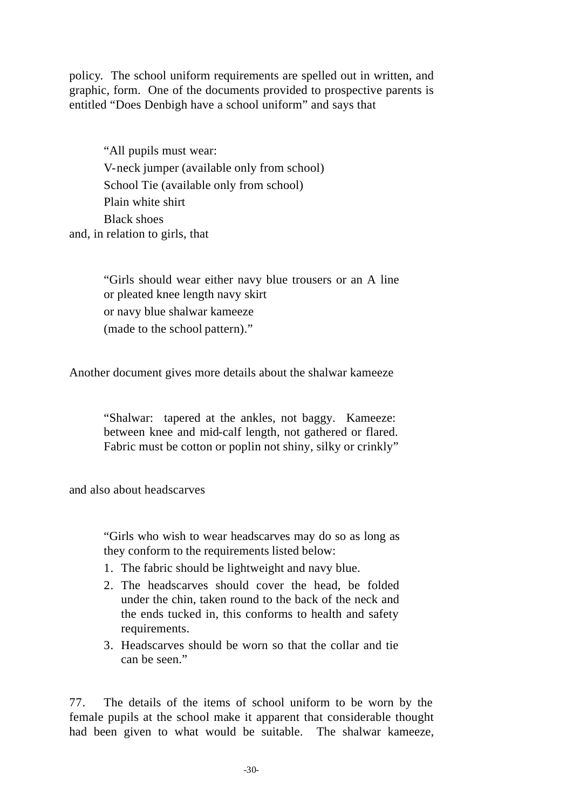policy. The school uniform requirements are spelled out in written, and graphic, form. One of the documents provided to prospective parents is entitled "Does Denbigh have a school uniform" and says that

"All pupils must wear: V-neck jumper (available only from school) School Tie (available only from school) Plain white shirt Black shoes and, in relation to girls, that

> "Girls should wear either navy blue trousers or an A line or pleated knee length navy skirt or navy blue shalwar kameeze (made to the school pattern)."

Another document gives more details about the shalwar kameeze

"Shalwar: tapered at the ankles, not baggy. Kameeze: between knee and mid-calf length, not gathered or flared. Fabric must be cotton or poplin not shiny, silky or crinkly"

and also about headscarves

"Girls who wish to wear headscarves may do so as long as they conform to the requirements listed below:

- 1. The fabric should be lightweight and navy blue.
- 2. The headscarves should cover the head, be folded under the chin, taken round to the back of the neck and the ends tucked in, this conforms to health and safety requirements.
- 3. Headscarves should be worn so that the collar and tie can be seen."

77. The details of the items of school uniform to be worn by the female pupils at the school make it apparent that considerable thought had been given to what would be suitable. The shalwar kameeze,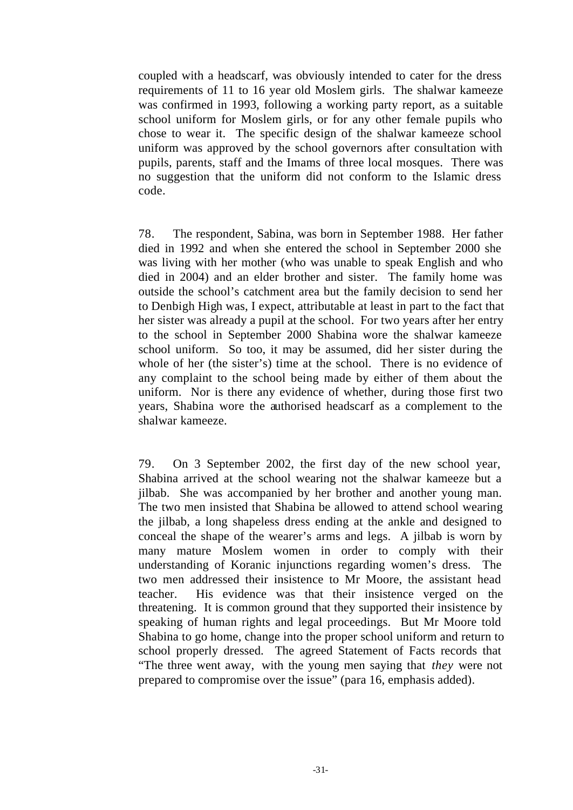coupled with a headscarf, was obviously intended to cater for the dress requirements of 11 to 16 year old Moslem girls. The shalwar kameeze was confirmed in 1993, following a working party report, as a suitable school uniform for Moslem girls, or for any other female pupils who chose to wear it. The specific design of the shalwar kameeze school uniform was approved by the school governors after consultation with pupils, parents, staff and the Imams of three local mosques. There was no suggestion that the uniform did not conform to the Islamic dress code.

78. The respondent, Sabina, was born in September 1988. Her father died in 1992 and when she entered the school in September 2000 she was living with her mother (who was unable to speak English and who died in 2004) and an elder brother and sister. The family home was outside the school's catchment area but the family decision to send her to Denbigh High was, I expect, attributable at least in part to the fact that her sister was already a pupil at the school. For two years after her entry to the school in September 2000 Shabina wore the shalwar kameeze school uniform. So too, it may be assumed, did her sister during the whole of her (the sister's) time at the school. There is no evidence of any complaint to the school being made by either of them about the uniform. Nor is there any evidence of whether, during those first two years, Shabina wore the authorised headscarf as a complement to the shalwar kameeze.

79. On 3 September 2002, the first day of the new school year, Shabina arrived at the school wearing not the shalwar kameeze but a jilbab. She was accompanied by her brother and another young man. The two men insisted that Shabina be allowed to attend school wearing the jilbab, a long shapeless dress ending at the ankle and designed to conceal the shape of the wearer's arms and legs. A jilbab is worn by many mature Moslem women in order to comply with their understanding of Koranic injunctions regarding women's dress. The two men addressed their insistence to Mr Moore, the assistant head teacher. His evidence was that their insistence verged on the threatening. It is common ground that they supported their insistence by speaking of human rights and legal proceedings. But Mr Moore told Shabina to go home, change into the proper school uniform and return to school properly dressed. The agreed Statement of Facts records that "The three went away, with the young men saying that *they* were not prepared to compromise over the issue" (para 16, emphasis added).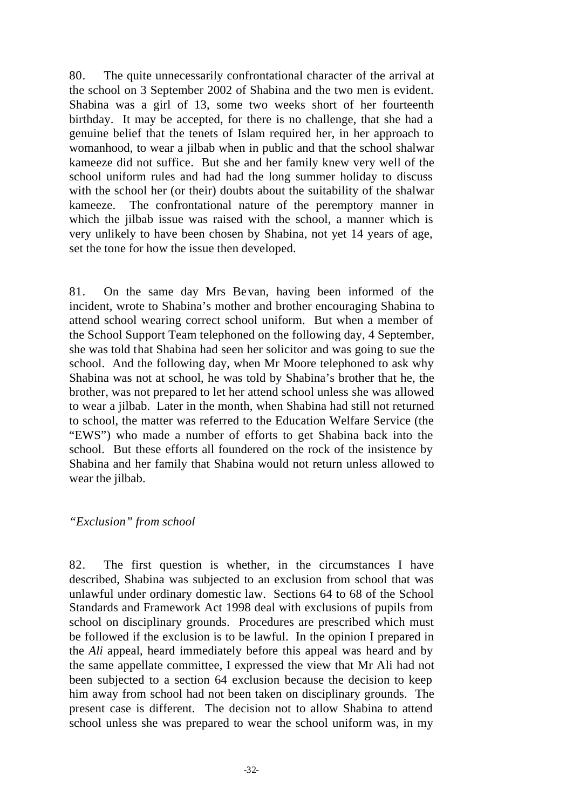80. The quite unnecessarily confrontational character of the arrival at the school on 3 September 2002 of Shabina and the two men is evident. Shabina was a girl of 13, some two weeks short of her fourteenth birthday. It may be accepted, for there is no challenge, that she had a genuine belief that the tenets of Islam required her, in her approach to womanhood, to wear a jilbab when in public and that the school shalwar kameeze did not suffice. But she and her family knew very well of the school uniform rules and had had the long summer holiday to discuss with the school her (or their) doubts about the suitability of the shalwar kameeze. The confrontational nature of the peremptory manner in which the jilbab issue was raised with the school, a manner which is very unlikely to have been chosen by Shabina, not yet 14 years of age, set the tone for how the issue then developed.

81. On the same day Mrs Bevan, having been informed of the incident, wrote to Shabina's mother and brother encouraging Shabina to attend school wearing correct school uniform. But when a member of the School Support Team telephoned on the following day, 4 September, she was told that Shabina had seen her solicitor and was going to sue the school. And the following day, when Mr Moore telephoned to ask why Shabina was not at school, he was told by Shabina's brother that he, the brother, was not prepared to let her attend school unless she was allowed to wear a jilbab. Later in the month, when Shabina had still not returned to school, the matter was referred to the Education Welfare Service (the "EWS") who made a number of efforts to get Shabina back into the school. But these efforts all foundered on the rock of the insistence by Shabina and her family that Shabina would not return unless allowed to wear the jilbab.

## *"Exclusion" from school*

82. The first question is whether, in the circumstances I have described, Shabina was subjected to an exclusion from school that was unlawful under ordinary domestic law. Sections 64 to 68 of the School Standards and Framework Act 1998 deal with exclusions of pupils from school on disciplinary grounds. Procedures are prescribed which must be followed if the exclusion is to be lawful. In the opinion I prepared in the *Ali* appeal, heard immediately before this appeal was heard and by the same appellate committee, I expressed the view that Mr Ali had not been subjected to a section 64 exclusion because the decision to keep him away from school had not been taken on disciplinary grounds. The present case is different. The decision not to allow Shabina to attend school unless she was prepared to wear the school uniform was, in my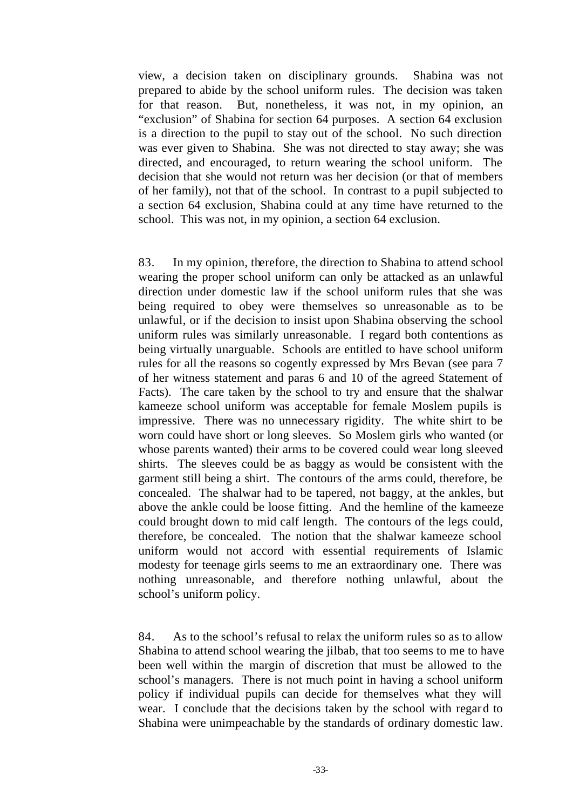view, a decision taken on disciplinary grounds. Shabina was not prepared to abide by the school uniform rules. The decision was taken for that reason. But, nonetheless, it was not, in my opinion, an "exclusion" of Shabina for section 64 purposes. A section 64 exclusion is a direction to the pupil to stay out of the school. No such direction was ever given to Shabina. She was not directed to stay away; she was directed, and encouraged, to return wearing the school uniform. The decision that she would not return was her decision (or that of members of her family), not that of the school. In contrast to a pupil subjected to a section 64 exclusion, Shabina could at any time have returned to the school. This was not, in my opinion, a section 64 exclusion.

83. In my opinion, therefore, the direction to Shabina to attend school wearing the proper school uniform can only be attacked as an unlawful direction under domestic law if the school uniform rules that she was being required to obey were themselves so unreasonable as to be unlawful, or if the decision to insist upon Shabina observing the school uniform rules was similarly unreasonable. I regard both contentions as being virtually unarguable. Schools are entitled to have school uniform rules for all the reasons so cogently expressed by Mrs Bevan (see para 7 of her witness statement and paras 6 and 10 of the agreed Statement of Facts). The care taken by the school to try and ensure that the shalwar kameeze school uniform was acceptable for female Moslem pupils is impressive. There was no unnecessary rigidity. The white shirt to be worn could have short or long sleeves. So Moslem girls who wanted (or whose parents wanted) their arms to be covered could wear long sleeved shirts. The sleeves could be as baggy as would be consistent with the garment still being a shirt. The contours of the arms could, therefore, be concealed. The shalwar had to be tapered, not baggy, at the ankles, but above the ankle could be loose fitting. And the hemline of the kameeze could brought down to mid calf length. The contours of the legs could, therefore, be concealed. The notion that the shalwar kameeze school uniform would not accord with essential requirements of Islamic modesty for teenage girls seems to me an extraordinary one. There was nothing unreasonable, and therefore nothing unlawful, about the school's uniform policy.

84. As to the school's refusal to relax the uniform rules so as to allow Shabina to attend school wearing the jilbab, that too seems to me to have been well within the margin of discretion that must be allowed to the school's managers. There is not much point in having a school uniform policy if individual pupils can decide for themselves what they will wear. I conclude that the decisions taken by the school with regard to Shabina were unimpeachable by the standards of ordinary domestic law.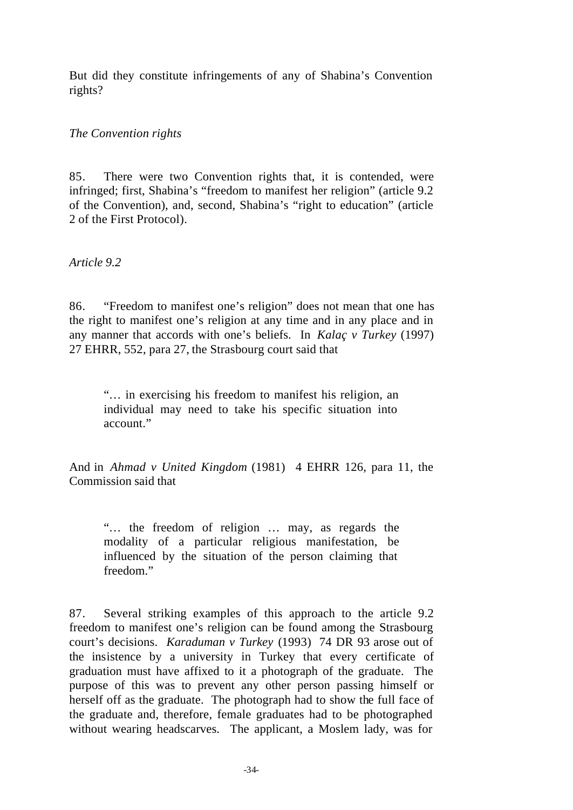But did they constitute infringements of any of Shabina's Convention rights?

## *The Convention rights*

85. There were two Convention rights that, it is contended, were infringed; first, Shabina's "freedom to manifest her religion" (article 9.2 of the Convention), and, second, Shabina's "right to education" (article 2 of the First Protocol).

*Article 9.2*

86. "Freedom to manifest one's religion" does not mean that one has the right to manifest one's religion at any time and in any place and in any manner that accords with one's beliefs. In *Kalaç v Turkey* (1997) 27 EHRR, 552, para 27, the Strasbourg court said that

"… in exercising his freedom to manifest his religion, an individual may need to take his specific situation into account."

And in *Ahmad v United Kingdom* (1981) 4 EHRR 126, para 11, the Commission said that

"… the freedom of religion … may, as regards the modality of a particular religious manifestation, be influenced by the situation of the person claiming that freedom."

87. Several striking examples of this approach to the article 9.2 freedom to manifest one's religion can be found among the Strasbourg court's decisions. *Karaduman v Turkey* (1993) 74 DR 93 arose out of the insistence by a university in Turkey that every certificate of graduation must have affixed to it a photograph of the graduate. The purpose of this was to prevent any other person passing himself or herself off as the graduate. The photograph had to show the full face of the graduate and, therefore, female graduates had to be photographed without wearing headscarves. The applicant, a Moslem lady, was for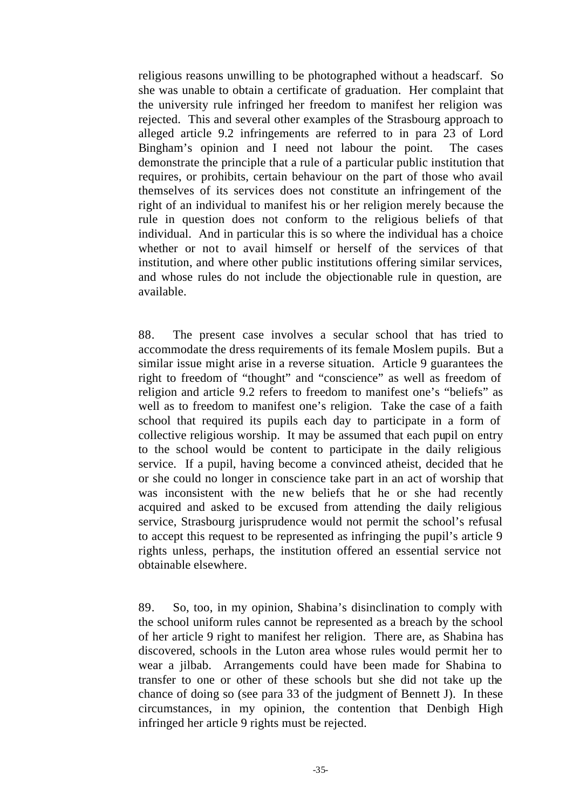religious reasons unwilling to be photographed without a headscarf. So she was unable to obtain a certificate of graduation. Her complaint that the university rule infringed her freedom to manifest her religion was rejected. This and several other examples of the Strasbourg approach to alleged article 9.2 infringements are referred to in para 23 of Lord Bingham's opinion and I need not labour the point. The cases demonstrate the principle that a rule of a particular public institution that requires, or prohibits, certain behaviour on the part of those who avail themselves of its services does not constitute an infringement of the right of an individual to manifest his or her religion merely because the rule in question does not conform to the religious beliefs of that individual. And in particular this is so where the individual has a choice whether or not to avail himself or herself of the services of that institution, and where other public institutions offering similar services, and whose rules do not include the objectionable rule in question, are available.

88. The present case involves a secular school that has tried to accommodate the dress requirements of its female Moslem pupils. But a similar issue might arise in a reverse situation. Article 9 guarantees the right to freedom of "thought" and "conscience" as well as freedom of religion and article 9.2 refers to freedom to manifest one's "beliefs" as well as to freedom to manifest one's religion. Take the case of a faith school that required its pupils each day to participate in a form of collective religious worship. It may be assumed that each pupil on entry to the school would be content to participate in the daily religious service. If a pupil, having become a convinced atheist, decided that he or she could no longer in conscience take part in an act of worship that was inconsistent with the new beliefs that he or she had recently acquired and asked to be excused from attending the daily religious service, Strasbourg jurisprudence would not permit the school's refusal to accept this request to be represented as infringing the pupil's article 9 rights unless, perhaps, the institution offered an essential service not obtainable elsewhere.

89. So, too, in my opinion, Shabina's disinclination to comply with the school uniform rules cannot be represented as a breach by the school of her article 9 right to manifest her religion. There are, as Shabina has discovered, schools in the Luton area whose rules would permit her to wear a jilbab. Arrangements could have been made for Shabina to transfer to one or other of these schools but she did not take up the chance of doing so (see para 33 of the judgment of Bennett J). In these circumstances, in my opinion, the contention that Denbigh High infringed her article 9 rights must be rejected.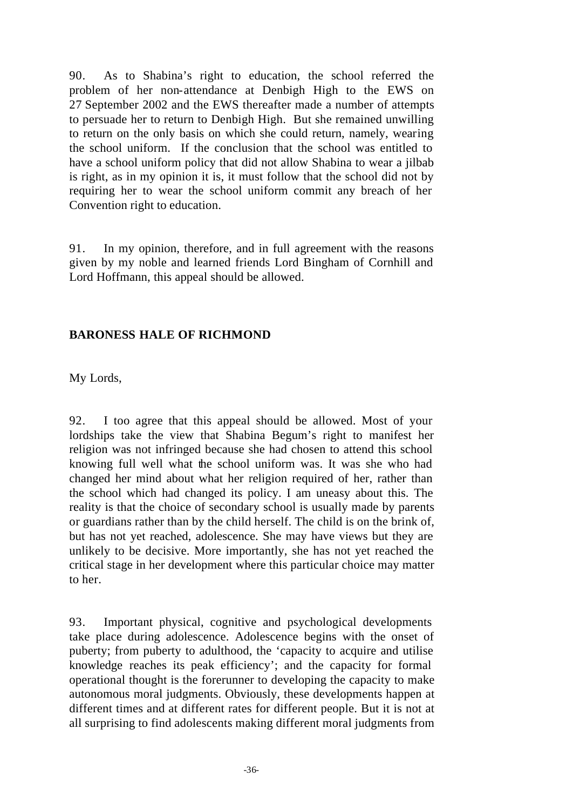90. As to Shabina's right to education, the school referred the problem of her non-attendance at Denbigh High to the EWS on 27 September 2002 and the EWS thereafter made a number of attempts to persuade her to return to Denbigh High. But she remained unwilling to return on the only basis on which she could return, namely, wearing the school uniform. If the conclusion that the school was entitled to have a school uniform policy that did not allow Shabina to wear a jilbab is right, as in my opinion it is, it must follow that the school did not by requiring her to wear the school uniform commit any breach of her Convention right to education.

91. In my opinion, therefore, and in full agreement with the reasons given by my noble and learned friends Lord Bingham of Cornhill and Lord Hoffmann, this appeal should be allowed.

## **BARONESS HALE OF RICHMOND**

My Lords,

92. I too agree that this appeal should be allowed. Most of your lordships take the view that Shabina Begum's right to manifest her religion was not infringed because she had chosen to attend this school knowing full well what the school uniform was. It was she who had changed her mind about what her religion required of her, rather than the school which had changed its policy. I am uneasy about this. The reality is that the choice of secondary school is usually made by parents or guardians rather than by the child herself. The child is on the brink of, but has not yet reached, adolescence. She may have views but they are unlikely to be decisive. More importantly, she has not yet reached the critical stage in her development where this particular choice may matter to her.

93. Important physical, cognitive and psychological developments take place during adolescence. Adolescence begins with the onset of puberty; from puberty to adulthood, the 'capacity to acquire and utilise knowledge reaches its peak efficiency'; and the capacity for formal operational thought is the forerunner to developing the capacity to make autonomous moral judgments. Obviously, these developments happen at different times and at different rates for different people. But it is not at all surprising to find adolescents making different moral judgments from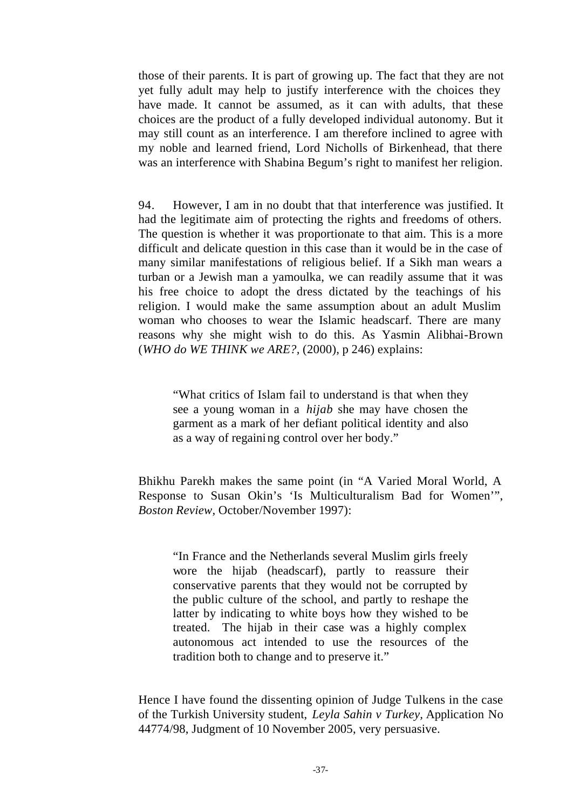those of their parents. It is part of growing up. The fact that they are not yet fully adult may help to justify interference with the choices they have made. It cannot be assumed, as it can with adults, that these choices are the product of a fully developed individual autonomy. But it may still count as an interference. I am therefore inclined to agree with my noble and learned friend, Lord Nicholls of Birkenhead, that there was an interference with Shabina Begum's right to manifest her religion.

94. However, I am in no doubt that that interference was justified. It had the legitimate aim of protecting the rights and freedoms of others. The question is whether it was proportionate to that aim. This is a more difficult and delicate question in this case than it would be in the case of many similar manifestations of religious belief. If a Sikh man wears a turban or a Jewish man a yamoulka, we can readily assume that it was his free choice to adopt the dress dictated by the teachings of his religion. I would make the same assumption about an adult Muslim woman who chooses to wear the Islamic headscarf. There are many reasons why she might wish to do this. As Yasmin Alibhai-Brown (*WHO do WE THINK we ARE?,* (2000), p 246) explains:

"What critics of Islam fail to understand is that when they see a young woman in a *hijab* she may have chosen the garment as a mark of her defiant political identity and also as a way of regaining control over her body."

Bhikhu Parekh makes the same point (in "A Varied Moral World, A Response to Susan Okin's 'Is Multiculturalism Bad for Women'", *Boston Review,* October/November 1997):

"In France and the Netherlands several Muslim girls freely wore the hijab (headscarf), partly to reassure their conservative parents that they would not be corrupted by the public culture of the school, and partly to reshape the latter by indicating to white boys how they wished to be treated. The hijab in their case was a highly complex autonomous act intended to use the resources of the tradition both to change and to preserve it."

Hence I have found the dissenting opinion of Judge Tulkens in the case of the Turkish University student, *Leyla Sahin v Turkey,* Application No 44774/98, Judgment of 10 November 2005, very persuasive.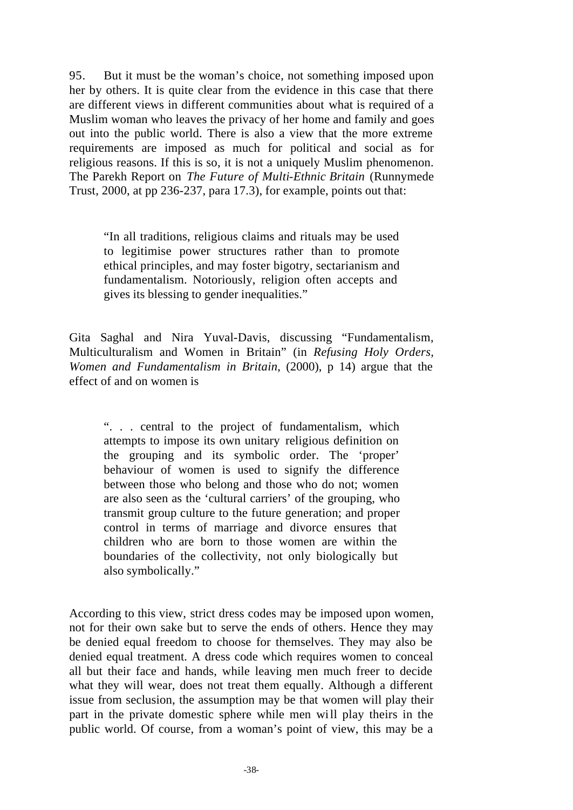95. But it must be the woman's choice, not something imposed upon her by others. It is quite clear from the evidence in this case that there are different views in different communities about what is required of a Muslim woman who leaves the privacy of her home and family and goes out into the public world. There is also a view that the more extreme requirements are imposed as much for political and social as for religious reasons. If this is so, it is not a uniquely Muslim phenomenon. The Parekh Report on *The Future of Multi-Ethnic Britain* (Runnymede Trust, 2000, at pp 236-237, para 17.3), for example, points out that:

"In all traditions, religious claims and rituals may be used to legitimise power structures rather than to promote ethical principles, and may foster bigotry, sectarianism and fundamentalism. Notoriously, religion often accepts and gives its blessing to gender inequalities."

Gita Saghal and Nira Yuval-Davis, discussing "Fundamentalism, Multiculturalism and Women in Britain" (in *Refusing Holy Orders, Women and Fundamentalism in Britain*, (2000), p 14) argue that the effect of and on women is

". . . central to the project of fundamentalism, which attempts to impose its own unitary religious definition on the grouping and its symbolic order. The 'proper' behaviour of women is used to signify the difference between those who belong and those who do not; women are also seen as the 'cultural carriers' of the grouping, who transmit group culture to the future generation; and proper control in terms of marriage and divorce ensures that children who are born to those women are within the boundaries of the collectivity, not only biologically but also symbolically."

According to this view, strict dress codes may be imposed upon women, not for their own sake but to serve the ends of others. Hence they may be denied equal freedom to choose for themselves. They may also be denied equal treatment. A dress code which requires women to conceal all but their face and hands, while leaving men much freer to decide what they will wear, does not treat them equally. Although a different issue from seclusion, the assumption may be that women will play their part in the private domestic sphere while men will play theirs in the public world. Of course, from a woman's point of view, this may be a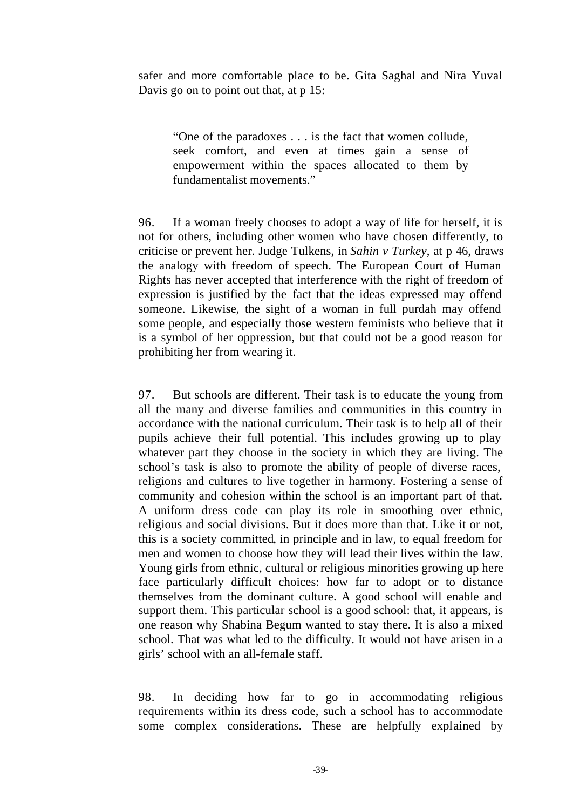safer and more comfortable place to be. Gita Saghal and Nira Yuval Davis go on to point out that, at p 15:

"One of the paradoxes . . . is the fact that women collude, seek comfort, and even at times gain a sense of empowerment within the spaces allocated to them by fundamentalist movements."

96. If a woman freely chooses to adopt a way of life for herself, it is not for others, including other women who have chosen differently, to criticise or prevent her. Judge Tulkens, in *Sahin v Turkey*, at p 46, draws the analogy with freedom of speech. The European Court of Human Rights has never accepted that interference with the right of freedom of expression is justified by the fact that the ideas expressed may offend someone. Likewise, the sight of a woman in full purdah may offend some people, and especially those western feminists who believe that it is a symbol of her oppression, but that could not be a good reason for prohibiting her from wearing it.

97. But schools are different. Their task is to educate the young from all the many and diverse families and communities in this country in accordance with the national curriculum. Their task is to help all of their pupils achieve their full potential. This includes growing up to play whatever part they choose in the society in which they are living. The school's task is also to promote the ability of people of diverse races, religions and cultures to live together in harmony. Fostering a sense of community and cohesion within the school is an important part of that. A uniform dress code can play its role in smoothing over ethnic, religious and social divisions. But it does more than that. Like it or not, this is a society committed, in principle and in law, to equal freedom for men and women to choose how they will lead their lives within the law. Young girls from ethnic, cultural or religious minorities growing up here face particularly difficult choices: how far to adopt or to distance themselves from the dominant culture. A good school will enable and support them. This particular school is a good school: that, it appears, is one reason why Shabina Begum wanted to stay there. It is also a mixed school. That was what led to the difficulty. It would not have arisen in a girls' school with an all-female staff.

98. In deciding how far to go in accommodating religious requirements within its dress code, such a school has to accommodate some complex considerations. These are helpfully explained by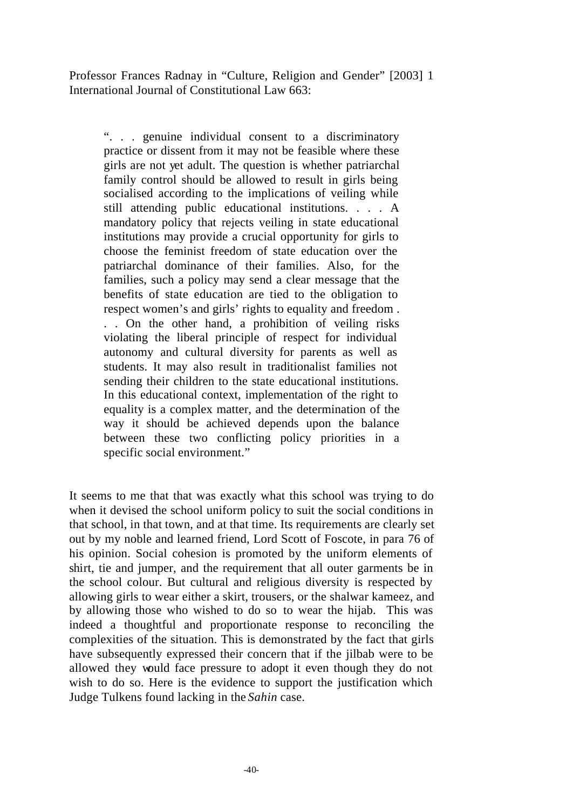Professor Frances Radnay in "Culture, Religion and Gender" [2003] 1 International Journal of Constitutional Law 663:

". . . genuine individual consent to a discriminatory practice or dissent from it may not be feasible where these girls are not yet adult. The question is whether patriarchal family control should be allowed to result in girls being socialised according to the implications of veiling while still attending public educational institutions. . . . A mandatory policy that rejects veiling in state educational institutions may provide a crucial opportunity for girls to choose the feminist freedom of state education over the patriarchal dominance of their families. Also, for the families, such a policy may send a clear message that the benefits of state education are tied to the obligation to respect women's and girls' rights to equality and freedom . . . On the other hand, a prohibition of veiling risks violating the liberal principle of respect for individual autonomy and cultural diversity for parents as well as students. It may also result in traditionalist families not sending their children to the state educational institutions. In this educational context, implementation of the right to equality is a complex matter, and the determination of the way it should be achieved depends upon the balance between these two conflicting policy priorities in a specific social environment."

It seems to me that that was exactly what this school was trying to do when it devised the school uniform policy to suit the social conditions in that school, in that town, and at that time. Its requirements are clearly set out by my noble and learned friend, Lord Scott of Foscote, in para 76 of his opinion. Social cohesion is promoted by the uniform elements of shirt, tie and jumper, and the requirement that all outer garments be in the school colour. But cultural and religious diversity is respected by allowing girls to wear either a skirt, trousers, or the shalwar kameez, and by allowing those who wished to do so to wear the hijab. This was indeed a thoughtful and proportionate response to reconciling the complexities of the situation. This is demonstrated by the fact that girls have subsequently expressed their concern that if the jilbab were to be allowed they would face pressure to adopt it even though they do not wish to do so. Here is the evidence to support the justification which Judge Tulkens found lacking in the *Sahin* case.